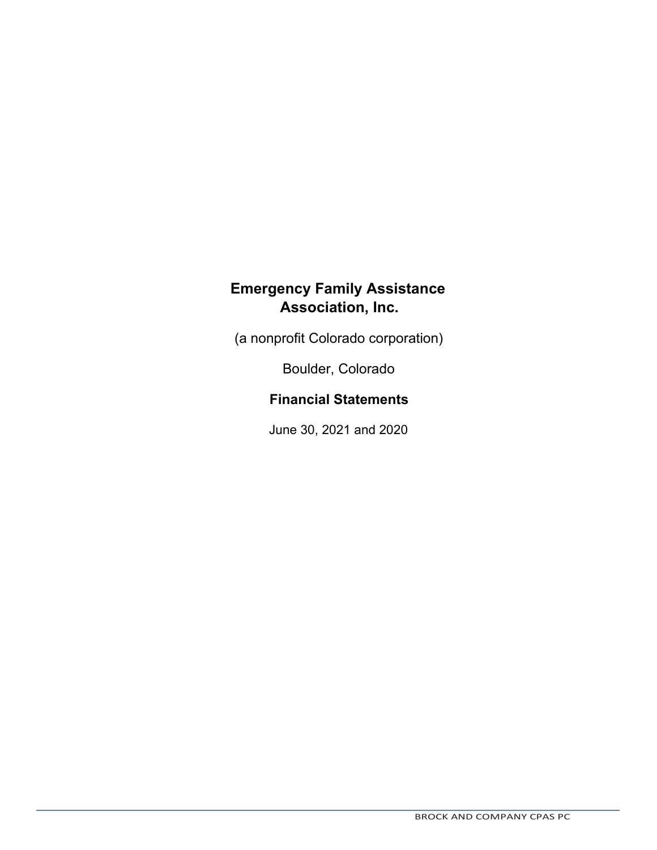(a nonprofit Colorado corporation)

Boulder, Colorado

## **Financial Statements**

June 30, 2021 and 2020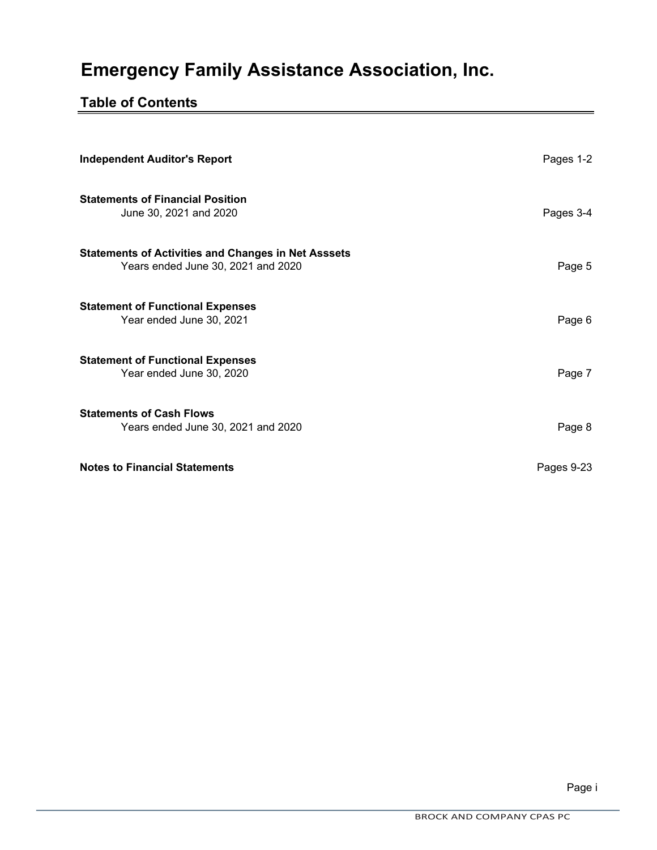# **Table of Contents**

| <b>Independent Auditor's Report</b>                                                              | Pages 1-2  |
|--------------------------------------------------------------------------------------------------|------------|
| <b>Statements of Financial Position</b><br>June 30, 2021 and 2020                                | Pages 3-4  |
| <b>Statements of Activities and Changes in Net Asssets</b><br>Years ended June 30, 2021 and 2020 | Page 5     |
| <b>Statement of Functional Expenses</b><br>Year ended June 30, 2021                              | Page 6     |
| <b>Statement of Functional Expenses</b><br>Year ended June 30, 2020                              | Page 7     |
| <b>Statements of Cash Flows</b><br>Years ended June 30, 2021 and 2020                            | Page 8     |
| <b>Notes to Financial Statements</b>                                                             | Pages 9-23 |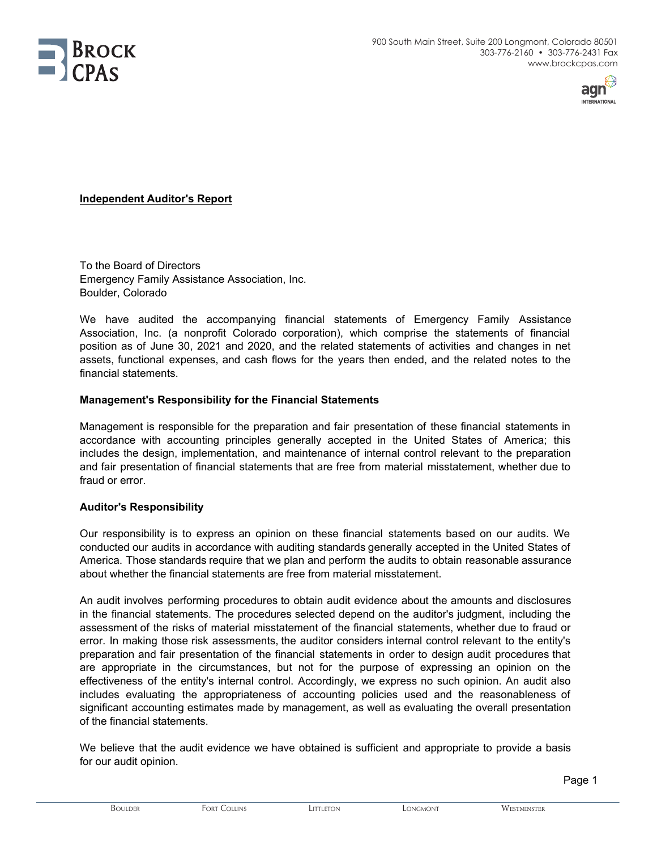



#### **Independent Auditor's Report**

To the Board of Directors Emergency Family Assistance Association, Inc. Boulder, Colorado

We have audited the accompanying financial statements of Emergency Family Assistance Association, Inc. (a nonprofit Colorado corporation), which comprise the statements of financial position as of June 30, 2021 and 2020, and the related statements of activities and changes in net assets, functional expenses, and cash flows for the years then ended, and the related notes to the financial statements.

#### **Management's Responsibility for the Financial Statements**

Management is responsible for the preparation and fair presentation of these financial statements in accordance with accounting principles generally accepted in the United States of America; this includes the design, implementation, and maintenance of internal control relevant to the preparation and fair presentation of financial statements that are free from material misstatement, whether due to fraud or error.

#### **Auditor's Responsibility**

Our responsibility is to express an opinion on these financial statements based on our audits. We conducted our audits in accordance with auditing standards generally accepted in the United States of America. Those standards require that we plan and perform the audits to obtain reasonable assurance about whether the financial statements are free from material misstatement.

An audit involves performing procedures to obtain audit evidence about the amounts and disclosures in the financial statements. The procedures selected depend on the auditor's judgment, including the assessment of the risks of material misstatement of the financial statements, whether due to fraud or error. In making those risk assessments, the auditor considers internal control relevant to the entity's preparation and fair presentation of the financial statements in order to design audit procedures that are appropriate in the circumstances, but not for the purpose of expressing an opinion on the effectiveness of the entity's internal control. Accordingly, we express no such opinion. An audit also includes evaluating the appropriateness of accounting policies used and the reasonableness of significant accounting estimates made by management, as well as evaluating the overall presentation of the financial statements.

We believe that the audit evidence we have obtained is sufficient and appropriate to provide a basis for our audit opinion.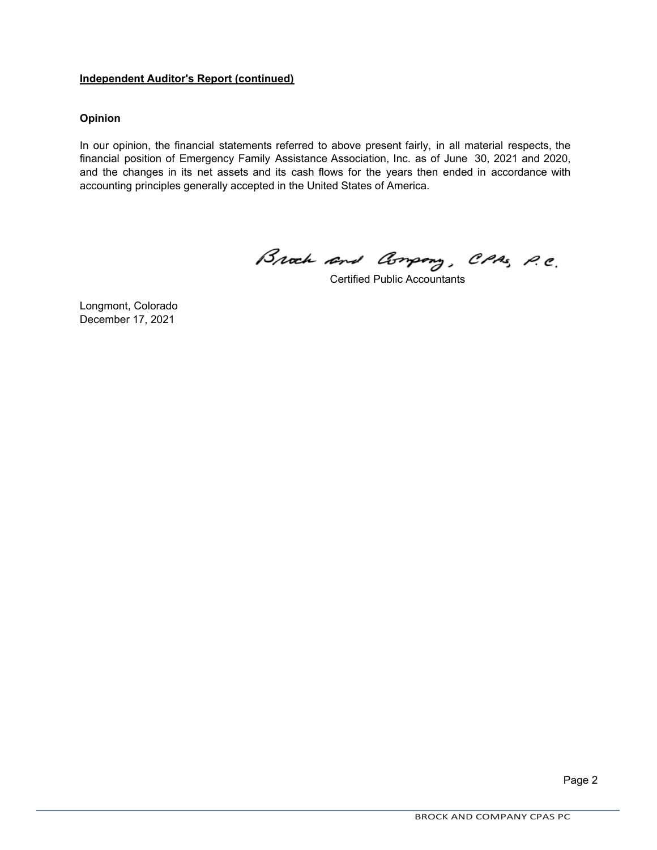#### **Independent Auditor's Report (continued)**

#### **Opinion**

In our opinion, the financial statements referred to above present fairly, in all material respects, the financial position of Emergency Family Assistance Association, Inc. as of June 30, 2021 and 2020, and the changes in its net assets and its cash flows for the years then ended in accordance with accounting principles generally accepted in the United States of America.

Brack and Company, CPAS, P.C.

Certified Public Accountants

Longmont, Colorado December 17, 2021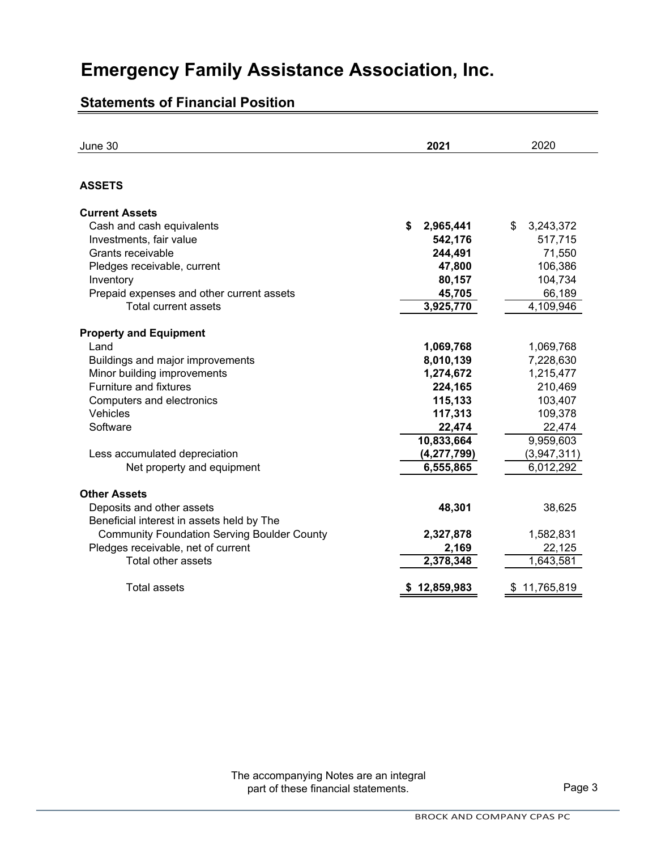# **Statements of Financial Position**

| June 30                                            | 2021            | 2020            |
|----------------------------------------------------|-----------------|-----------------|
| <b>ASSETS</b>                                      |                 |                 |
| <b>Current Assets</b>                              |                 |                 |
| Cash and cash equivalents                          | \$<br>2,965,441 | 3,243,372<br>\$ |
| Investments, fair value                            | 542,176         | 517,715         |
| Grants receivable                                  | 244,491         | 71,550          |
| Pledges receivable, current                        | 47,800          | 106,386         |
| Inventory                                          | 80,157          | 104,734         |
| Prepaid expenses and other current assets          | 45,705          | 66,189          |
| Total current assets                               | 3,925,770       | 4,109,946       |
|                                                    |                 |                 |
| <b>Property and Equipment</b>                      |                 |                 |
| Land                                               | 1,069,768       | 1,069,768       |
| Buildings and major improvements                   | 8,010,139       | 7,228,630       |
| Minor building improvements                        | 1,274,672       | 1,215,477       |
| <b>Furniture and fixtures</b>                      | 224,165         | 210,469         |
| Computers and electronics                          | 115,133         | 103,407         |
| Vehicles                                           | 117,313         | 109,378         |
| Software                                           | 22,474          | 22,474          |
|                                                    | 10,833,664      | 9,959,603       |
| Less accumulated depreciation                      | (4, 277, 799)   | (3,947,311)     |
| Net property and equipment                         | 6,555,865       | 6,012,292       |
|                                                    |                 |                 |
| <b>Other Assets</b>                                |                 |                 |
| Deposits and other assets                          | 48,301          | 38,625          |
| Beneficial interest in assets held by The          |                 |                 |
| <b>Community Foundation Serving Boulder County</b> | 2,327,878       | 1,582,831       |
| Pledges receivable, net of current                 | 2,169           | 22,125          |
| Total other assets                                 | 2,378,348       | 1,643,581       |
| <b>Total assets</b>                                | 12,859,983      | 11,765,819      |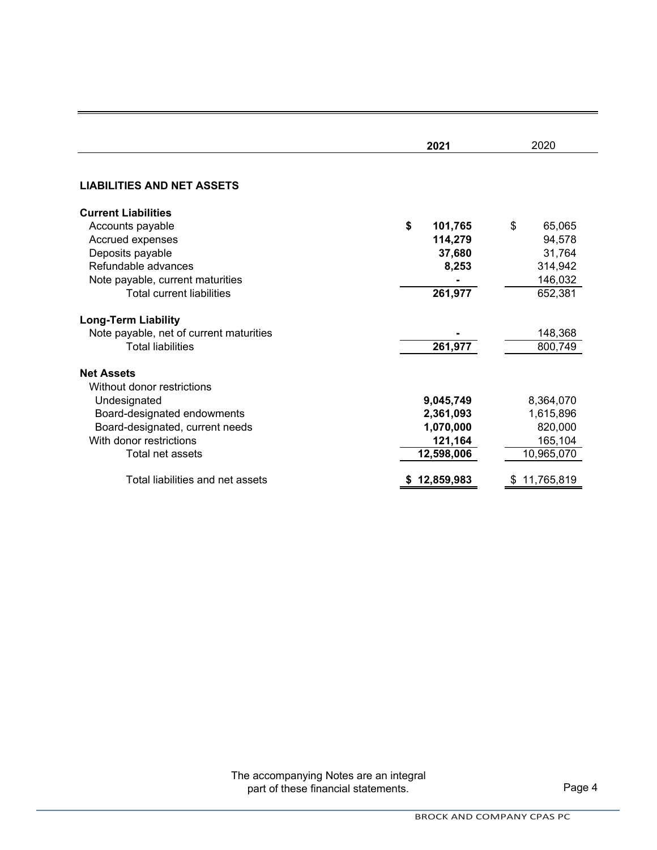|                                         | 2021          | 2020         |  |  |
|-----------------------------------------|---------------|--------------|--|--|
|                                         |               |              |  |  |
| <b>LIABILITIES AND NET ASSETS</b>       |               |              |  |  |
| <b>Current Liabilities</b>              |               |              |  |  |
| Accounts payable                        | \$<br>101,765 | \$<br>65,065 |  |  |
| Accrued expenses                        | 114,279       | 94,578       |  |  |
| Deposits payable                        | 37,680        | 31,764       |  |  |
| Refundable advances                     | 8,253         | 314,942      |  |  |
| Note payable, current maturities        |               | 146,032      |  |  |
| <b>Total current liabilities</b>        | 261,977       | 652,381      |  |  |
| <b>Long-Term Liability</b>              |               |              |  |  |
| Note payable, net of current maturities |               | 148,368      |  |  |
| <b>Total liabilities</b>                | 261,977       | 800,749      |  |  |
| <b>Net Assets</b>                       |               |              |  |  |
| Without donor restrictions              |               |              |  |  |
| Undesignated                            | 9,045,749     | 8,364,070    |  |  |
| Board-designated endowments             | 2,361,093     | 1,615,896    |  |  |
| Board-designated, current needs         | 1,070,000     | 820,000      |  |  |
| With donor restrictions                 | 121,164       | 165,104      |  |  |
| Total net assets                        | 12,598,006    | 10,965,070   |  |  |
| Total liabilities and net assets        | 12,859,983    | 11,765,819   |  |  |

The accompanying Notes are an integral part of these financial statements. The page 4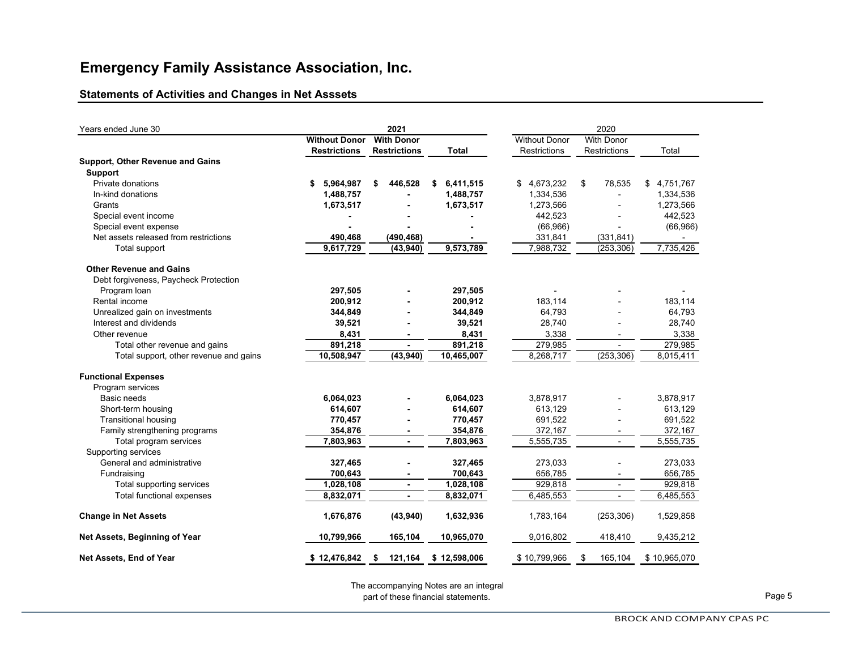### **Statements of Activities and Changes in Net Asssets**

| Years ended June 30                    | 2021                                      |                     |    |                     |                      |              |    | 2020              |    |                          |                 |
|----------------------------------------|-------------------------------------------|---------------------|----|---------------------|----------------------|--------------|----|-------------------|----|--------------------------|-----------------|
|                                        | <b>Without Donor</b><br><b>With Donor</b> |                     |    |                     | <b>Without Donor</b> |              |    | <b>With Donor</b> |    |                          |                 |
|                                        |                                           | <b>Restrictions</b> |    | <b>Restrictions</b> |                      | <b>Total</b> |    | Restrictions      |    | <b>Restrictions</b>      | Total           |
| Support, Other Revenue and Gains       |                                           |                     |    |                     |                      |              |    |                   |    |                          |                 |
| <b>Support</b>                         |                                           |                     |    |                     |                      |              |    |                   |    |                          |                 |
| Private donations                      | \$                                        | 5,964,987           | \$ | 446,528             | \$                   | 6,411,515    | \$ | 4,673,232         | \$ | 78,535                   | 4,751,767<br>\$ |
| In-kind donations                      |                                           | 1,488,757           |    |                     |                      | 1,488,757    |    | 1,334,536         |    |                          | 1,334,536       |
| Grants                                 |                                           | 1,673,517           |    |                     |                      | 1,673,517    |    | 1,273,566         |    |                          | 1,273,566       |
| Special event income                   |                                           |                     |    |                     |                      |              |    | 442,523           |    |                          | 442,523         |
| Special event expense                  |                                           |                     |    |                     |                      |              |    | (66, 966)         |    |                          | (66, 966)       |
| Net assets released from restrictions  |                                           | 490,468             |    | (490, 468)          |                      |              |    | 331,841           |    | (331, 841)               |                 |
| Total support                          |                                           | 9,617,729           |    | (43, 940)           |                      | 9,573,789    |    | 7,988,732         |    | (253, 306)               | 7,735,426       |
| <b>Other Revenue and Gains</b>         |                                           |                     |    |                     |                      |              |    |                   |    |                          |                 |
| Debt forgiveness, Paycheck Protection  |                                           |                     |    |                     |                      |              |    |                   |    |                          |                 |
| Program Ioan                           |                                           | 297,505             |    |                     |                      | 297,505      |    |                   |    |                          |                 |
| Rental income                          |                                           | 200,912             |    |                     |                      | 200,912      |    | 183,114           |    |                          | 183,114         |
| Unrealized gain on investments         |                                           | 344,849             |    |                     |                      | 344,849      |    | 64,793            |    |                          | 64,793          |
| Interest and dividends                 |                                           | 39,521              |    |                     |                      | 39,521       |    | 28,740            |    |                          | 28,740          |
| Other revenue                          |                                           | 8,431               |    |                     |                      | 8,431        |    | 3,338             |    |                          | 3,338           |
| Total other revenue and gains          |                                           | 891,218             |    |                     |                      | 891,218      |    | 279,985           |    |                          | 279,985         |
| Total support, other revenue and gains |                                           | 10,508,947          |    | (43, 940)           |                      | 10,465,007   |    | 8,268,717         |    | (253, 306)               | 8,015,411       |
| <b>Functional Expenses</b>             |                                           |                     |    |                     |                      |              |    |                   |    |                          |                 |
| Program services                       |                                           |                     |    |                     |                      |              |    |                   |    |                          |                 |
| <b>Basic needs</b>                     |                                           | 6,064,023           |    |                     |                      | 6,064,023    |    | 3,878,917         |    |                          | 3,878,917       |
| Short-term housing                     |                                           | 614,607             |    |                     |                      | 614,607      |    | 613,129           |    |                          | 613,129         |
| <b>Transitional housing</b>            |                                           | 770,457             |    |                     |                      | 770,457      |    | 691,522           |    |                          | 691,522         |
| Family strengthening programs          |                                           | 354,876             |    | $\blacksquare$      |                      | 354,876      |    | 372,167           |    | $\overline{\phantom{a}}$ | 372,167         |
| Total program services                 |                                           | 7,803,963           |    | ä,                  |                      | 7,803,963    |    | 5,555,735         |    | $\overline{\phantom{a}}$ | 5,555,735       |
| Supporting services                    |                                           |                     |    |                     |                      |              |    |                   |    |                          |                 |
| General and administrative             |                                           | 327,465             |    |                     |                      | 327,465      |    | 273,033           |    |                          | 273,033         |
| Fundraising                            |                                           | 700,643             |    |                     |                      | 700,643      |    | 656,785           |    |                          | 656,785         |
| Total supporting services              |                                           | 1,028,108           |    | $\blacksquare$      |                      | 1,028,108    |    | 929,818           |    | $\overline{\phantom{a}}$ | 929,818         |
| Total functional expenses              |                                           | 8,832,071           |    | $\blacksquare$      |                      | 8,832,071    |    | 6,485,553         |    | $\overline{a}$           | 6,485,553       |
| <b>Change in Net Assets</b>            |                                           | 1,676,876           |    | (43, 940)           |                      | 1,632,936    |    | 1,783,164         |    | (253, 306)               | 1,529,858       |
| Net Assets, Beginning of Year          |                                           | 10,799,966          |    | 165,104             |                      | 10,965,070   |    | 9,016,802         |    | 418,410                  | 9,435,212       |
| Net Assets, End of Year                |                                           | \$12,476,842        | \$ | 121,164             |                      | \$12,598,006 |    | \$10,799,966      | \$ | 165,104                  | \$10,965,070    |

The accompanying Notes are an integral part of these financial statements. Page 5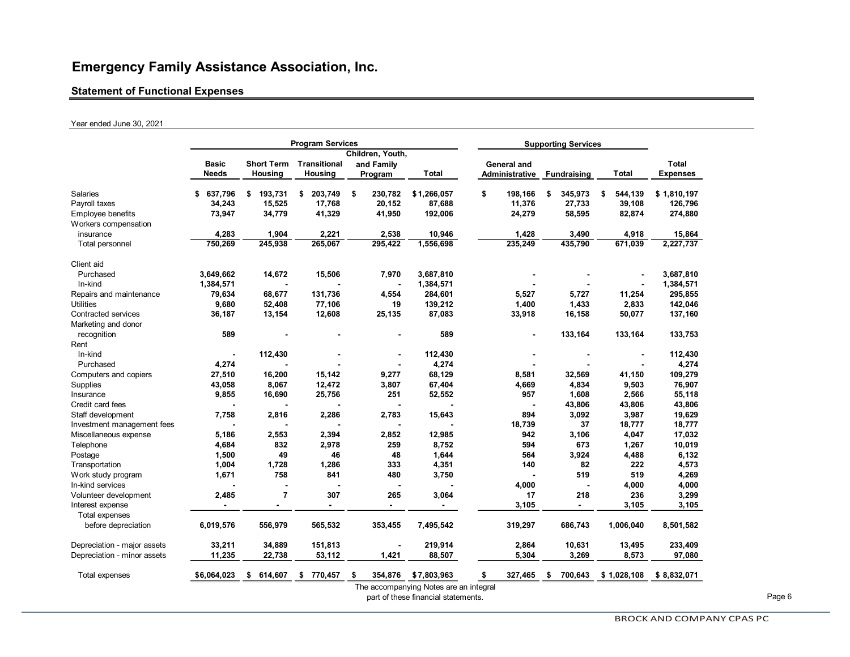#### **Statement of Functional Expenses**

#### Year ended June 30, 2021

| Children, Youth,<br><b>Transitional</b><br>Total<br><b>Basic</b><br><b>Short Term</b><br>and Family<br>General and<br><b>Needs</b><br>Housing<br>Housing<br>Program<br>Total<br>Administrative<br>Total<br><b>Fundraising</b><br>\$<br>Salaries<br>193,731<br>203,749<br>198,166<br>\$637,796<br>\$<br>\$<br>230,782<br>\$1,266,057<br>345,973<br>544,139<br>\$<br>\$<br>\$<br>34,243<br>17,768<br>Payroll taxes<br>15,525<br>20,152<br>87,688<br>11,376<br>27,733<br>39,108<br>73,947<br>34,779<br>41,329<br>41,950<br>192,006<br>24,279<br>58,595<br>82,874<br>Employee benefits<br>Workers compensation<br>4,283<br>1,904<br>2,221<br>2,538<br>10,946<br>1,428<br>3,490<br>4,918<br>15,864<br>insurance<br>435,790<br>671,039<br>750,269<br>245,938<br>265,067<br>295,422<br>1,556,698<br>235,249<br>Total personnel<br>Client aid<br>3,649,662<br>14,672<br>15,506<br>7,970<br>3,687,810<br>Purchased<br>In-kind<br>1,384,571<br>1,384,571<br>1,384,571<br>$\blacksquare$<br>131,736<br>68,677<br>4,554<br>5,527<br>5,727<br>11,254<br>295,855<br>Repairs and maintenance<br>79,634<br>284,601<br><b>Utilities</b><br>9,680<br>52,408<br>77,106<br>19<br>139,212<br>1,400<br>1,433<br>2,833<br>142,046<br>13,154<br>12,608<br>33,918<br>Contracted services<br>36,187<br>25,135<br>87,083<br>16,158<br>50,077<br>137,160<br>Marketing and donor<br>589<br>589<br>133,164<br>133,164<br>133,753<br>recognition<br>$\blacksquare$<br>Rent<br>In-kind<br>112,430<br>112,430<br>112,430<br>$\blacksquare$<br>4,274<br>4,274<br>4,274<br>Purchased<br>27,510<br>16,200<br>15,142<br>68,129<br>Computers and copiers<br>9,277<br>8,581<br>32,569<br>41,150<br>109,279<br>43,058<br>8,067<br>12,472<br>3,807<br>4,669<br>4,834<br>Supplies<br>67,404<br>9,503<br>76,907<br>9,855<br>1,608<br>16,690<br>25,756<br>251<br>52,552<br>957<br>2,566<br>55,118<br>Insurance<br>Credit card fees<br>43,806<br>43,806<br>43,806<br>7,758<br>2,286<br>15,643<br>894<br>3,092<br>3,987<br>19,629<br>Staff development<br>2,816<br>2,783<br>18,739<br>37<br>18,777<br>18,777<br>Investment management fees<br>5,186<br>2,553<br>2,394<br>2,852<br>12,985<br>942<br>3,106<br>17,032<br>Miscellaneous expense<br>4,047<br>4,684<br>832<br>2,978<br>259<br>8,752<br>594<br>673<br>1,267<br>10,019<br>Telephone<br>49<br>46<br>1,644<br>Postage<br>1,500<br>48<br>564<br>3,924<br>4,488<br>6,132<br>1,004<br>1,728<br>1,286<br>333<br>4,351<br>140<br>82<br>222<br>4,573<br>Transportation<br>758<br>841<br>480<br>519<br>519<br>Work study program<br>1,671<br>3,750<br>4,000<br>4,000<br>4,000<br>In-kind services<br>$\overline{7}$<br>2,485<br>307<br>265<br>3,064<br>17<br>218<br>236<br>3,299<br>Volunteer development<br>3,105<br>3,105<br>3,105<br>Interest expense<br>$\overline{a}$<br>$\overline{\phantom{a}}$<br>$\overline{\phantom{0}}$<br>$\blacksquare$<br>$\blacksquare$<br>Total expenses<br>before depreciation<br>565,532<br>7,495,542<br>319,297<br>1,006,040<br>6,019,576<br>556,979<br>353,455<br>686,743<br>8,501,582<br>Depreciation - major assets<br>33,211<br>34,889<br>151,813<br>219,914<br>2,864<br>10,631<br>13,495<br>11,235<br>5,304<br>3,269<br>Depreciation - minor assets<br>22,738<br>53,112<br>1,421<br>88,507<br>8,573<br>\$6,064,023<br>614,607<br>770,457<br>354,876<br>\$7,803,963<br>327,465<br>700,643<br>\$<br>\$<br>\$1,028,108<br>Total expenses<br>\$<br>s<br>The accompanying Notes are an integral |  |  | <b>Program Services</b> |  |  | <b>Supporting Services</b> |  |  |  |  |  |                 |  |
|-------------------------------------------------------------------------------------------------------------------------------------------------------------------------------------------------------------------------------------------------------------------------------------------------------------------------------------------------------------------------------------------------------------------------------------------------------------------------------------------------------------------------------------------------------------------------------------------------------------------------------------------------------------------------------------------------------------------------------------------------------------------------------------------------------------------------------------------------------------------------------------------------------------------------------------------------------------------------------------------------------------------------------------------------------------------------------------------------------------------------------------------------------------------------------------------------------------------------------------------------------------------------------------------------------------------------------------------------------------------------------------------------------------------------------------------------------------------------------------------------------------------------------------------------------------------------------------------------------------------------------------------------------------------------------------------------------------------------------------------------------------------------------------------------------------------------------------------------------------------------------------------------------------------------------------------------------------------------------------------------------------------------------------------------------------------------------------------------------------------------------------------------------------------------------------------------------------------------------------------------------------------------------------------------------------------------------------------------------------------------------------------------------------------------------------------------------------------------------------------------------------------------------------------------------------------------------------------------------------------------------------------------------------------------------------------------------------------------------------------------------------------------------------------------------------------------------------------------------------------------------------------------------------------------------------------------------------------------------------------------------------------------------------------------------------------------------------------------------------------------------------------------------------------------------------------------------------------------------------------------------------------------------------------------------------------------------------------------------------------------------------------------------------------------------------|--|--|-------------------------|--|--|----------------------------|--|--|--|--|--|-----------------|--|
|                                                                                                                                                                                                                                                                                                                                                                                                                                                                                                                                                                                                                                                                                                                                                                                                                                                                                                                                                                                                                                                                                                                                                                                                                                                                                                                                                                                                                                                                                                                                                                                                                                                                                                                                                                                                                                                                                                                                                                                                                                                                                                                                                                                                                                                                                                                                                                                                                                                                                                                                                                                                                                                                                                                                                                                                                                                                                                                                                                                                                                                                                                                                                                                                                                                                                                                                                                                                                                     |  |  |                         |  |  |                            |  |  |  |  |  |                 |  |
|                                                                                                                                                                                                                                                                                                                                                                                                                                                                                                                                                                                                                                                                                                                                                                                                                                                                                                                                                                                                                                                                                                                                                                                                                                                                                                                                                                                                                                                                                                                                                                                                                                                                                                                                                                                                                                                                                                                                                                                                                                                                                                                                                                                                                                                                                                                                                                                                                                                                                                                                                                                                                                                                                                                                                                                                                                                                                                                                                                                                                                                                                                                                                                                                                                                                                                                                                                                                                                     |  |  |                         |  |  |                            |  |  |  |  |  |                 |  |
|                                                                                                                                                                                                                                                                                                                                                                                                                                                                                                                                                                                                                                                                                                                                                                                                                                                                                                                                                                                                                                                                                                                                                                                                                                                                                                                                                                                                                                                                                                                                                                                                                                                                                                                                                                                                                                                                                                                                                                                                                                                                                                                                                                                                                                                                                                                                                                                                                                                                                                                                                                                                                                                                                                                                                                                                                                                                                                                                                                                                                                                                                                                                                                                                                                                                                                                                                                                                                                     |  |  |                         |  |  |                            |  |  |  |  |  | <b>Expenses</b> |  |
|                                                                                                                                                                                                                                                                                                                                                                                                                                                                                                                                                                                                                                                                                                                                                                                                                                                                                                                                                                                                                                                                                                                                                                                                                                                                                                                                                                                                                                                                                                                                                                                                                                                                                                                                                                                                                                                                                                                                                                                                                                                                                                                                                                                                                                                                                                                                                                                                                                                                                                                                                                                                                                                                                                                                                                                                                                                                                                                                                                                                                                                                                                                                                                                                                                                                                                                                                                                                                                     |  |  |                         |  |  |                            |  |  |  |  |  | \$1,810,197     |  |
|                                                                                                                                                                                                                                                                                                                                                                                                                                                                                                                                                                                                                                                                                                                                                                                                                                                                                                                                                                                                                                                                                                                                                                                                                                                                                                                                                                                                                                                                                                                                                                                                                                                                                                                                                                                                                                                                                                                                                                                                                                                                                                                                                                                                                                                                                                                                                                                                                                                                                                                                                                                                                                                                                                                                                                                                                                                                                                                                                                                                                                                                                                                                                                                                                                                                                                                                                                                                                                     |  |  |                         |  |  |                            |  |  |  |  |  | 126,796         |  |
|                                                                                                                                                                                                                                                                                                                                                                                                                                                                                                                                                                                                                                                                                                                                                                                                                                                                                                                                                                                                                                                                                                                                                                                                                                                                                                                                                                                                                                                                                                                                                                                                                                                                                                                                                                                                                                                                                                                                                                                                                                                                                                                                                                                                                                                                                                                                                                                                                                                                                                                                                                                                                                                                                                                                                                                                                                                                                                                                                                                                                                                                                                                                                                                                                                                                                                                                                                                                                                     |  |  |                         |  |  |                            |  |  |  |  |  | 274,880         |  |
|                                                                                                                                                                                                                                                                                                                                                                                                                                                                                                                                                                                                                                                                                                                                                                                                                                                                                                                                                                                                                                                                                                                                                                                                                                                                                                                                                                                                                                                                                                                                                                                                                                                                                                                                                                                                                                                                                                                                                                                                                                                                                                                                                                                                                                                                                                                                                                                                                                                                                                                                                                                                                                                                                                                                                                                                                                                                                                                                                                                                                                                                                                                                                                                                                                                                                                                                                                                                                                     |  |  |                         |  |  |                            |  |  |  |  |  |                 |  |
|                                                                                                                                                                                                                                                                                                                                                                                                                                                                                                                                                                                                                                                                                                                                                                                                                                                                                                                                                                                                                                                                                                                                                                                                                                                                                                                                                                                                                                                                                                                                                                                                                                                                                                                                                                                                                                                                                                                                                                                                                                                                                                                                                                                                                                                                                                                                                                                                                                                                                                                                                                                                                                                                                                                                                                                                                                                                                                                                                                                                                                                                                                                                                                                                                                                                                                                                                                                                                                     |  |  |                         |  |  |                            |  |  |  |  |  | 2,227,737       |  |
|                                                                                                                                                                                                                                                                                                                                                                                                                                                                                                                                                                                                                                                                                                                                                                                                                                                                                                                                                                                                                                                                                                                                                                                                                                                                                                                                                                                                                                                                                                                                                                                                                                                                                                                                                                                                                                                                                                                                                                                                                                                                                                                                                                                                                                                                                                                                                                                                                                                                                                                                                                                                                                                                                                                                                                                                                                                                                                                                                                                                                                                                                                                                                                                                                                                                                                                                                                                                                                     |  |  |                         |  |  |                            |  |  |  |  |  |                 |  |
|                                                                                                                                                                                                                                                                                                                                                                                                                                                                                                                                                                                                                                                                                                                                                                                                                                                                                                                                                                                                                                                                                                                                                                                                                                                                                                                                                                                                                                                                                                                                                                                                                                                                                                                                                                                                                                                                                                                                                                                                                                                                                                                                                                                                                                                                                                                                                                                                                                                                                                                                                                                                                                                                                                                                                                                                                                                                                                                                                                                                                                                                                                                                                                                                                                                                                                                                                                                                                                     |  |  |                         |  |  |                            |  |  |  |  |  | 3,687,810       |  |
|                                                                                                                                                                                                                                                                                                                                                                                                                                                                                                                                                                                                                                                                                                                                                                                                                                                                                                                                                                                                                                                                                                                                                                                                                                                                                                                                                                                                                                                                                                                                                                                                                                                                                                                                                                                                                                                                                                                                                                                                                                                                                                                                                                                                                                                                                                                                                                                                                                                                                                                                                                                                                                                                                                                                                                                                                                                                                                                                                                                                                                                                                                                                                                                                                                                                                                                                                                                                                                     |  |  |                         |  |  |                            |  |  |  |  |  |                 |  |
|                                                                                                                                                                                                                                                                                                                                                                                                                                                                                                                                                                                                                                                                                                                                                                                                                                                                                                                                                                                                                                                                                                                                                                                                                                                                                                                                                                                                                                                                                                                                                                                                                                                                                                                                                                                                                                                                                                                                                                                                                                                                                                                                                                                                                                                                                                                                                                                                                                                                                                                                                                                                                                                                                                                                                                                                                                                                                                                                                                                                                                                                                                                                                                                                                                                                                                                                                                                                                                     |  |  |                         |  |  |                            |  |  |  |  |  |                 |  |
|                                                                                                                                                                                                                                                                                                                                                                                                                                                                                                                                                                                                                                                                                                                                                                                                                                                                                                                                                                                                                                                                                                                                                                                                                                                                                                                                                                                                                                                                                                                                                                                                                                                                                                                                                                                                                                                                                                                                                                                                                                                                                                                                                                                                                                                                                                                                                                                                                                                                                                                                                                                                                                                                                                                                                                                                                                                                                                                                                                                                                                                                                                                                                                                                                                                                                                                                                                                                                                     |  |  |                         |  |  |                            |  |  |  |  |  |                 |  |
|                                                                                                                                                                                                                                                                                                                                                                                                                                                                                                                                                                                                                                                                                                                                                                                                                                                                                                                                                                                                                                                                                                                                                                                                                                                                                                                                                                                                                                                                                                                                                                                                                                                                                                                                                                                                                                                                                                                                                                                                                                                                                                                                                                                                                                                                                                                                                                                                                                                                                                                                                                                                                                                                                                                                                                                                                                                                                                                                                                                                                                                                                                                                                                                                                                                                                                                                                                                                                                     |  |  |                         |  |  |                            |  |  |  |  |  |                 |  |
|                                                                                                                                                                                                                                                                                                                                                                                                                                                                                                                                                                                                                                                                                                                                                                                                                                                                                                                                                                                                                                                                                                                                                                                                                                                                                                                                                                                                                                                                                                                                                                                                                                                                                                                                                                                                                                                                                                                                                                                                                                                                                                                                                                                                                                                                                                                                                                                                                                                                                                                                                                                                                                                                                                                                                                                                                                                                                                                                                                                                                                                                                                                                                                                                                                                                                                                                                                                                                                     |  |  |                         |  |  |                            |  |  |  |  |  |                 |  |
|                                                                                                                                                                                                                                                                                                                                                                                                                                                                                                                                                                                                                                                                                                                                                                                                                                                                                                                                                                                                                                                                                                                                                                                                                                                                                                                                                                                                                                                                                                                                                                                                                                                                                                                                                                                                                                                                                                                                                                                                                                                                                                                                                                                                                                                                                                                                                                                                                                                                                                                                                                                                                                                                                                                                                                                                                                                                                                                                                                                                                                                                                                                                                                                                                                                                                                                                                                                                                                     |  |  |                         |  |  |                            |  |  |  |  |  |                 |  |
|                                                                                                                                                                                                                                                                                                                                                                                                                                                                                                                                                                                                                                                                                                                                                                                                                                                                                                                                                                                                                                                                                                                                                                                                                                                                                                                                                                                                                                                                                                                                                                                                                                                                                                                                                                                                                                                                                                                                                                                                                                                                                                                                                                                                                                                                                                                                                                                                                                                                                                                                                                                                                                                                                                                                                                                                                                                                                                                                                                                                                                                                                                                                                                                                                                                                                                                                                                                                                                     |  |  |                         |  |  |                            |  |  |  |  |  |                 |  |
|                                                                                                                                                                                                                                                                                                                                                                                                                                                                                                                                                                                                                                                                                                                                                                                                                                                                                                                                                                                                                                                                                                                                                                                                                                                                                                                                                                                                                                                                                                                                                                                                                                                                                                                                                                                                                                                                                                                                                                                                                                                                                                                                                                                                                                                                                                                                                                                                                                                                                                                                                                                                                                                                                                                                                                                                                                                                                                                                                                                                                                                                                                                                                                                                                                                                                                                                                                                                                                     |  |  |                         |  |  |                            |  |  |  |  |  |                 |  |
|                                                                                                                                                                                                                                                                                                                                                                                                                                                                                                                                                                                                                                                                                                                                                                                                                                                                                                                                                                                                                                                                                                                                                                                                                                                                                                                                                                                                                                                                                                                                                                                                                                                                                                                                                                                                                                                                                                                                                                                                                                                                                                                                                                                                                                                                                                                                                                                                                                                                                                                                                                                                                                                                                                                                                                                                                                                                                                                                                                                                                                                                                                                                                                                                                                                                                                                                                                                                                                     |  |  |                         |  |  |                            |  |  |  |  |  |                 |  |
|                                                                                                                                                                                                                                                                                                                                                                                                                                                                                                                                                                                                                                                                                                                                                                                                                                                                                                                                                                                                                                                                                                                                                                                                                                                                                                                                                                                                                                                                                                                                                                                                                                                                                                                                                                                                                                                                                                                                                                                                                                                                                                                                                                                                                                                                                                                                                                                                                                                                                                                                                                                                                                                                                                                                                                                                                                                                                                                                                                                                                                                                                                                                                                                                                                                                                                                                                                                                                                     |  |  |                         |  |  |                            |  |  |  |  |  |                 |  |
|                                                                                                                                                                                                                                                                                                                                                                                                                                                                                                                                                                                                                                                                                                                                                                                                                                                                                                                                                                                                                                                                                                                                                                                                                                                                                                                                                                                                                                                                                                                                                                                                                                                                                                                                                                                                                                                                                                                                                                                                                                                                                                                                                                                                                                                                                                                                                                                                                                                                                                                                                                                                                                                                                                                                                                                                                                                                                                                                                                                                                                                                                                                                                                                                                                                                                                                                                                                                                                     |  |  |                         |  |  |                            |  |  |  |  |  |                 |  |
|                                                                                                                                                                                                                                                                                                                                                                                                                                                                                                                                                                                                                                                                                                                                                                                                                                                                                                                                                                                                                                                                                                                                                                                                                                                                                                                                                                                                                                                                                                                                                                                                                                                                                                                                                                                                                                                                                                                                                                                                                                                                                                                                                                                                                                                                                                                                                                                                                                                                                                                                                                                                                                                                                                                                                                                                                                                                                                                                                                                                                                                                                                                                                                                                                                                                                                                                                                                                                                     |  |  |                         |  |  |                            |  |  |  |  |  |                 |  |
|                                                                                                                                                                                                                                                                                                                                                                                                                                                                                                                                                                                                                                                                                                                                                                                                                                                                                                                                                                                                                                                                                                                                                                                                                                                                                                                                                                                                                                                                                                                                                                                                                                                                                                                                                                                                                                                                                                                                                                                                                                                                                                                                                                                                                                                                                                                                                                                                                                                                                                                                                                                                                                                                                                                                                                                                                                                                                                                                                                                                                                                                                                                                                                                                                                                                                                                                                                                                                                     |  |  |                         |  |  |                            |  |  |  |  |  |                 |  |
|                                                                                                                                                                                                                                                                                                                                                                                                                                                                                                                                                                                                                                                                                                                                                                                                                                                                                                                                                                                                                                                                                                                                                                                                                                                                                                                                                                                                                                                                                                                                                                                                                                                                                                                                                                                                                                                                                                                                                                                                                                                                                                                                                                                                                                                                                                                                                                                                                                                                                                                                                                                                                                                                                                                                                                                                                                                                                                                                                                                                                                                                                                                                                                                                                                                                                                                                                                                                                                     |  |  |                         |  |  |                            |  |  |  |  |  |                 |  |
|                                                                                                                                                                                                                                                                                                                                                                                                                                                                                                                                                                                                                                                                                                                                                                                                                                                                                                                                                                                                                                                                                                                                                                                                                                                                                                                                                                                                                                                                                                                                                                                                                                                                                                                                                                                                                                                                                                                                                                                                                                                                                                                                                                                                                                                                                                                                                                                                                                                                                                                                                                                                                                                                                                                                                                                                                                                                                                                                                                                                                                                                                                                                                                                                                                                                                                                                                                                                                                     |  |  |                         |  |  |                            |  |  |  |  |  |                 |  |
|                                                                                                                                                                                                                                                                                                                                                                                                                                                                                                                                                                                                                                                                                                                                                                                                                                                                                                                                                                                                                                                                                                                                                                                                                                                                                                                                                                                                                                                                                                                                                                                                                                                                                                                                                                                                                                                                                                                                                                                                                                                                                                                                                                                                                                                                                                                                                                                                                                                                                                                                                                                                                                                                                                                                                                                                                                                                                                                                                                                                                                                                                                                                                                                                                                                                                                                                                                                                                                     |  |  |                         |  |  |                            |  |  |  |  |  |                 |  |
|                                                                                                                                                                                                                                                                                                                                                                                                                                                                                                                                                                                                                                                                                                                                                                                                                                                                                                                                                                                                                                                                                                                                                                                                                                                                                                                                                                                                                                                                                                                                                                                                                                                                                                                                                                                                                                                                                                                                                                                                                                                                                                                                                                                                                                                                                                                                                                                                                                                                                                                                                                                                                                                                                                                                                                                                                                                                                                                                                                                                                                                                                                                                                                                                                                                                                                                                                                                                                                     |  |  |                         |  |  |                            |  |  |  |  |  |                 |  |
|                                                                                                                                                                                                                                                                                                                                                                                                                                                                                                                                                                                                                                                                                                                                                                                                                                                                                                                                                                                                                                                                                                                                                                                                                                                                                                                                                                                                                                                                                                                                                                                                                                                                                                                                                                                                                                                                                                                                                                                                                                                                                                                                                                                                                                                                                                                                                                                                                                                                                                                                                                                                                                                                                                                                                                                                                                                                                                                                                                                                                                                                                                                                                                                                                                                                                                                                                                                                                                     |  |  |                         |  |  |                            |  |  |  |  |  |                 |  |
|                                                                                                                                                                                                                                                                                                                                                                                                                                                                                                                                                                                                                                                                                                                                                                                                                                                                                                                                                                                                                                                                                                                                                                                                                                                                                                                                                                                                                                                                                                                                                                                                                                                                                                                                                                                                                                                                                                                                                                                                                                                                                                                                                                                                                                                                                                                                                                                                                                                                                                                                                                                                                                                                                                                                                                                                                                                                                                                                                                                                                                                                                                                                                                                                                                                                                                                                                                                                                                     |  |  |                         |  |  |                            |  |  |  |  |  |                 |  |
|                                                                                                                                                                                                                                                                                                                                                                                                                                                                                                                                                                                                                                                                                                                                                                                                                                                                                                                                                                                                                                                                                                                                                                                                                                                                                                                                                                                                                                                                                                                                                                                                                                                                                                                                                                                                                                                                                                                                                                                                                                                                                                                                                                                                                                                                                                                                                                                                                                                                                                                                                                                                                                                                                                                                                                                                                                                                                                                                                                                                                                                                                                                                                                                                                                                                                                                                                                                                                                     |  |  |                         |  |  |                            |  |  |  |  |  | 4,269           |  |
|                                                                                                                                                                                                                                                                                                                                                                                                                                                                                                                                                                                                                                                                                                                                                                                                                                                                                                                                                                                                                                                                                                                                                                                                                                                                                                                                                                                                                                                                                                                                                                                                                                                                                                                                                                                                                                                                                                                                                                                                                                                                                                                                                                                                                                                                                                                                                                                                                                                                                                                                                                                                                                                                                                                                                                                                                                                                                                                                                                                                                                                                                                                                                                                                                                                                                                                                                                                                                                     |  |  |                         |  |  |                            |  |  |  |  |  |                 |  |
|                                                                                                                                                                                                                                                                                                                                                                                                                                                                                                                                                                                                                                                                                                                                                                                                                                                                                                                                                                                                                                                                                                                                                                                                                                                                                                                                                                                                                                                                                                                                                                                                                                                                                                                                                                                                                                                                                                                                                                                                                                                                                                                                                                                                                                                                                                                                                                                                                                                                                                                                                                                                                                                                                                                                                                                                                                                                                                                                                                                                                                                                                                                                                                                                                                                                                                                                                                                                                                     |  |  |                         |  |  |                            |  |  |  |  |  |                 |  |
|                                                                                                                                                                                                                                                                                                                                                                                                                                                                                                                                                                                                                                                                                                                                                                                                                                                                                                                                                                                                                                                                                                                                                                                                                                                                                                                                                                                                                                                                                                                                                                                                                                                                                                                                                                                                                                                                                                                                                                                                                                                                                                                                                                                                                                                                                                                                                                                                                                                                                                                                                                                                                                                                                                                                                                                                                                                                                                                                                                                                                                                                                                                                                                                                                                                                                                                                                                                                                                     |  |  |                         |  |  |                            |  |  |  |  |  |                 |  |
|                                                                                                                                                                                                                                                                                                                                                                                                                                                                                                                                                                                                                                                                                                                                                                                                                                                                                                                                                                                                                                                                                                                                                                                                                                                                                                                                                                                                                                                                                                                                                                                                                                                                                                                                                                                                                                                                                                                                                                                                                                                                                                                                                                                                                                                                                                                                                                                                                                                                                                                                                                                                                                                                                                                                                                                                                                                                                                                                                                                                                                                                                                                                                                                                                                                                                                                                                                                                                                     |  |  |                         |  |  |                            |  |  |  |  |  |                 |  |
|                                                                                                                                                                                                                                                                                                                                                                                                                                                                                                                                                                                                                                                                                                                                                                                                                                                                                                                                                                                                                                                                                                                                                                                                                                                                                                                                                                                                                                                                                                                                                                                                                                                                                                                                                                                                                                                                                                                                                                                                                                                                                                                                                                                                                                                                                                                                                                                                                                                                                                                                                                                                                                                                                                                                                                                                                                                                                                                                                                                                                                                                                                                                                                                                                                                                                                                                                                                                                                     |  |  |                         |  |  |                            |  |  |  |  |  |                 |  |
|                                                                                                                                                                                                                                                                                                                                                                                                                                                                                                                                                                                                                                                                                                                                                                                                                                                                                                                                                                                                                                                                                                                                                                                                                                                                                                                                                                                                                                                                                                                                                                                                                                                                                                                                                                                                                                                                                                                                                                                                                                                                                                                                                                                                                                                                                                                                                                                                                                                                                                                                                                                                                                                                                                                                                                                                                                                                                                                                                                                                                                                                                                                                                                                                                                                                                                                                                                                                                                     |  |  |                         |  |  |                            |  |  |  |  |  |                 |  |
|                                                                                                                                                                                                                                                                                                                                                                                                                                                                                                                                                                                                                                                                                                                                                                                                                                                                                                                                                                                                                                                                                                                                                                                                                                                                                                                                                                                                                                                                                                                                                                                                                                                                                                                                                                                                                                                                                                                                                                                                                                                                                                                                                                                                                                                                                                                                                                                                                                                                                                                                                                                                                                                                                                                                                                                                                                                                                                                                                                                                                                                                                                                                                                                                                                                                                                                                                                                                                                     |  |  |                         |  |  |                            |  |  |  |  |  | 233,409         |  |
|                                                                                                                                                                                                                                                                                                                                                                                                                                                                                                                                                                                                                                                                                                                                                                                                                                                                                                                                                                                                                                                                                                                                                                                                                                                                                                                                                                                                                                                                                                                                                                                                                                                                                                                                                                                                                                                                                                                                                                                                                                                                                                                                                                                                                                                                                                                                                                                                                                                                                                                                                                                                                                                                                                                                                                                                                                                                                                                                                                                                                                                                                                                                                                                                                                                                                                                                                                                                                                     |  |  |                         |  |  |                            |  |  |  |  |  | 97,080          |  |
|                                                                                                                                                                                                                                                                                                                                                                                                                                                                                                                                                                                                                                                                                                                                                                                                                                                                                                                                                                                                                                                                                                                                                                                                                                                                                                                                                                                                                                                                                                                                                                                                                                                                                                                                                                                                                                                                                                                                                                                                                                                                                                                                                                                                                                                                                                                                                                                                                                                                                                                                                                                                                                                                                                                                                                                                                                                                                                                                                                                                                                                                                                                                                                                                                                                                                                                                                                                                                                     |  |  |                         |  |  |                            |  |  |  |  |  | \$8,832,071     |  |
|                                                                                                                                                                                                                                                                                                                                                                                                                                                                                                                                                                                                                                                                                                                                                                                                                                                                                                                                                                                                                                                                                                                                                                                                                                                                                                                                                                                                                                                                                                                                                                                                                                                                                                                                                                                                                                                                                                                                                                                                                                                                                                                                                                                                                                                                                                                                                                                                                                                                                                                                                                                                                                                                                                                                                                                                                                                                                                                                                                                                                                                                                                                                                                                                                                                                                                                                                                                                                                     |  |  |                         |  |  |                            |  |  |  |  |  |                 |  |

part of these financial statements. Page 6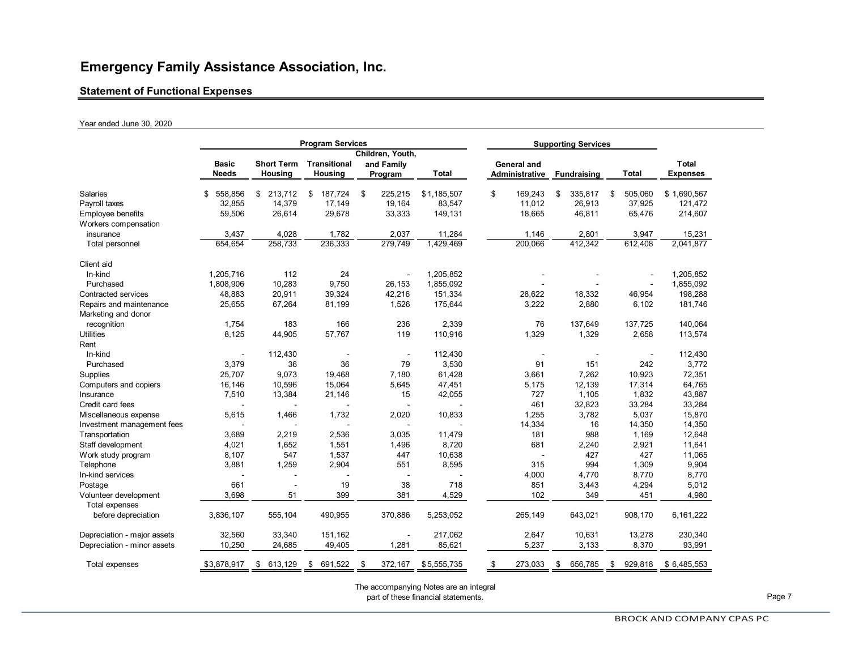#### **Statement of Functional Expenses**

#### Year ended June 30, 2020

|                                                | <b>Program Services</b>  |                   |                     |    |                          |              |    | <b>Supporting Services</b> |    |                    |    |                |                 |
|------------------------------------------------|--------------------------|-------------------|---------------------|----|--------------------------|--------------|----|----------------------------|----|--------------------|----|----------------|-----------------|
|                                                | Children, Youth,         |                   |                     |    |                          |              |    |                            |    |                    |    |                |                 |
|                                                | Basic                    | <b>Short Term</b> | <b>Transitional</b> |    | and Family               |              |    | General and                |    |                    |    |                | <b>Total</b>    |
|                                                | <b>Needs</b>             | Housing           | Housing             |    | Program                  | <b>Total</b> |    | Administrative             |    | <b>Fundraising</b> |    | <b>Total</b>   | <b>Expenses</b> |
| Salaries                                       | 558,856<br>\$            | 213,712<br>\$     | 187,724<br>\$       | \$ | 225,215                  | \$1,185,507  | \$ | 169,243                    | \$ | 335,817            | \$ | 505,060        | \$1,690,567     |
| Payroll taxes                                  | 32,855                   | 14,379            | 17,149              |    | 19,164                   | 83,547       |    | 11,012                     |    | 26,913             |    | 37,925         | 121,472         |
| Employee benefits                              | 59,506                   | 26,614            | 29,678              |    | 33,333                   | 149,131      |    | 18,665                     |    | 46,811             |    | 65,476         | 214,607         |
| Workers compensation                           |                          |                   |                     |    |                          |              |    |                            |    |                    |    |                |                 |
| insurance                                      | 3,437                    | 4,028             | 1,782               |    | 2,037                    | 11,284       |    | 1,146                      |    | 2,801              |    | 3,947          | 15,231          |
| Total personnel                                | 654,654                  | 258,733           | 236,333             |    | 279,749                  | 1,429,469    |    | 200,066                    |    | 412,342            |    | 612,408        | 2,041,877       |
| Client aid                                     |                          |                   |                     |    |                          |              |    |                            |    |                    |    |                |                 |
| In-kind                                        | 1,205,716                | 112               | 24                  |    |                          | 1,205,852    |    |                            |    |                    |    |                | 1,205,852       |
| Purchased                                      | 1,808,906                | 10,283            | 9,750               |    | 26,153                   | 1,855,092    |    |                            |    |                    |    |                | 1,855,092       |
| <b>Contracted services</b>                     | 48,883                   | 20,911            | 39,324              |    | 42,216                   | 151,334      |    | 28,622                     |    | 18,332             |    | 46,954         | 198,288         |
| Repairs and maintenance<br>Marketing and donor | 25,655                   | 67,264            | 81,199              |    | 1,526                    | 175,644      |    | 3,222                      |    | 2,880              |    | 6,102          | 181,746         |
| recognition                                    | 1,754                    | 183               | 166                 |    | 236                      | 2,339        |    | 76                         |    | 137,649            |    | 137,725        | 140,064         |
| <b>Utilities</b>                               | 8,125                    | 44,905            | 57,767              |    | 119                      | 110,916      |    | 1,329                      |    | 1,329              |    | 2,658          | 113,574         |
| Rent                                           |                          |                   |                     |    |                          |              |    |                            |    |                    |    |                |                 |
| In-kind                                        | $\overline{\phantom{a}}$ | 112,430           | $\sim$              |    | $\overline{\phantom{a}}$ | 112,430      |    |                            |    | $\sim$             |    | $\blacksquare$ | 112,430         |
| Purchased                                      | 3,379                    | 36                | 36                  |    | 79                       | 3,530        |    | 91                         |    | 151                |    | 242            | 3,772           |
| Supplies                                       | 25,707                   | 9,073             | 19,468              |    | 7,180                    | 61,428       |    | 3,661                      |    | 7,262              |    | 10,923         | 72,351          |
| Computers and copiers                          | 16,146                   | 10,596            | 15,064              |    | 5,645                    | 47,451       |    | 5,175                      |    | 12,139             |    | 17,314         | 64,765          |
| Insurance                                      | 7,510                    | 13,384            | 21,146              |    | 15                       | 42,055       |    | 727                        |    | 1,105              |    | 1,832          | 43,887          |
| Credit card fees                               | $\overline{\phantom{a}}$ | $\blacksquare$    |                     |    | L,                       |              |    | 461                        |    | 32,823             |    | 33,284         | 33,284          |
| Miscellaneous expense                          | 5,615                    | 1,466             | 1,732               |    | 2,020                    | 10,833       |    | 1,255                      |    | 3,782              |    | 5,037          | 15,870          |
| Investment management fees                     |                          |                   |                     |    |                          |              |    | 14,334                     |    | 16                 |    | 14,350         | 14,350          |
| Transportation                                 | 3,689                    | 2,219             | 2,536               |    | 3,035                    | 11,479       |    | 181                        |    | 988                |    | 1,169          | 12,648          |
| Staff development                              | 4,021                    | 1,652             | 1,551               |    | 1,496                    | 8,720        |    | 681                        |    | 2,240              |    | 2,921          | 11,641          |
| Work study program                             | 8,107                    | 547               | 1,537               |    | 447                      | 10,638       |    |                            |    | 427                |    | 427            | 11,065          |
| Telephone                                      | 3,881                    | 1,259             | 2,904               |    | 551                      | 8,595        |    | 315                        |    | 994                |    | 1,309          | 9,904           |
| In-kind services                               |                          |                   |                     |    | $\overline{a}$           |              |    | 4,000                      |    | 4,770              |    | 8,770          | 8,770           |
| Postage                                        | 661                      |                   | 19                  |    | 38                       | 718          |    | 851                        |    | 3,443              |    | 4,294          | 5,012           |
| Volunteer development                          | 3,698                    | 51                | 399                 |    | 381                      | 4,529        |    | 102                        |    | 349                |    | 451            | 4,980           |
| Total expenses                                 |                          |                   |                     |    |                          |              |    |                            |    |                    |    |                |                 |
| before depreciation                            | 3,836,107                | 555,104           | 490,955             |    | 370,886                  | 5,253,052    |    | 265,149                    |    | 643,021            |    | 908,170        | 6,161,222       |
| Depreciation - major assets                    | 32,560                   | 33,340            | 151,162             |    |                          | 217,062      |    | 2,647                      |    | 10,631             |    | 13,278         | 230,340         |
| Depreciation - minor assets                    | 10,250                   | 24,685            | 49,405              |    | 1,281                    | 85,621       |    | 5,237                      |    | 3,133              |    | 8,370          | 93,991          |
| Total expenses                                 | \$3,878,917              | \$<br>613,129     | \$<br>691,522       | \$ | 372,167                  | \$5,555,735  | \$ | 273,033                    | \$ | 656,785            | \$ | 929,818        | \$6,485,553     |

The accompanying Notes are an integral

part of these financial statements. **Page 7**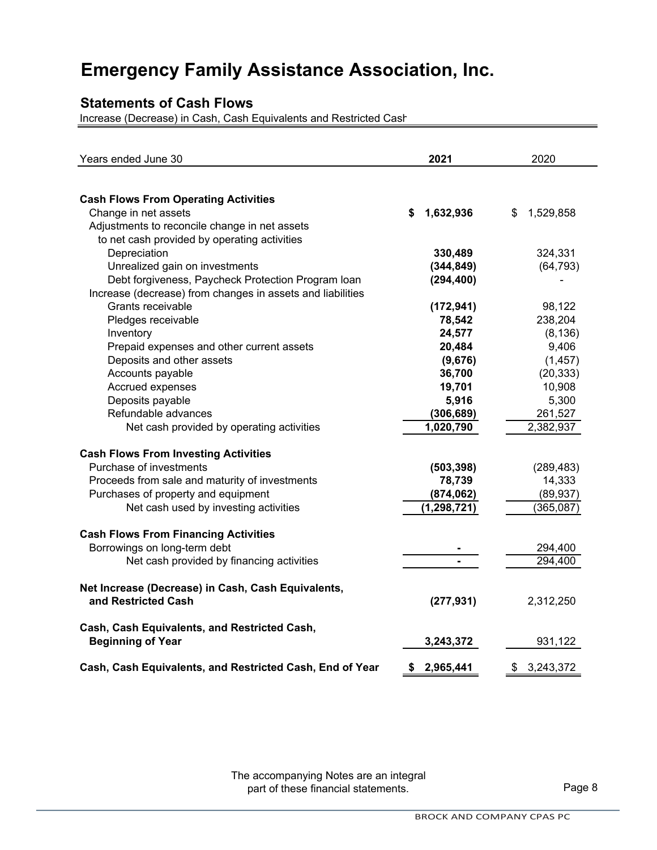## **Statements of Cash Flows**

Increase (Decrease) in Cash, Cash Equivalents and Restricted Cash

| Years ended June 30                                                   | 2021            | 2020            |
|-----------------------------------------------------------------------|-----------------|-----------------|
|                                                                       |                 |                 |
| <b>Cash Flows From Operating Activities</b>                           |                 |                 |
| Change in net assets<br>Adjustments to reconcile change in net assets | 1,632,936<br>\$ | 1,529,858<br>\$ |
| to net cash provided by operating activities                          |                 |                 |
| Depreciation                                                          | 330,489         | 324,331         |
| Unrealized gain on investments                                        | (344, 849)      | (64, 793)       |
| Debt forgiveness, Paycheck Protection Program Ioan                    | (294, 400)      |                 |
| Increase (decrease) from changes in assets and liabilities            |                 |                 |
| Grants receivable                                                     | (172, 941)      | 98,122          |
| Pledges receivable                                                    | 78,542          | 238,204         |
| Inventory                                                             | 24,577          | (8, 136)        |
| Prepaid expenses and other current assets                             | 20,484          | 9,406           |
| Deposits and other assets                                             | (9,676)         | (1, 457)        |
| Accounts payable                                                      | 36,700          | (20, 333)       |
| Accrued expenses                                                      | 19,701          | 10,908          |
| Deposits payable                                                      | 5,916           | 5,300           |
| Refundable advances                                                   | (306, 689)      | 261,527         |
| Net cash provided by operating activities                             | 1,020,790       | 2,382,937       |
| <b>Cash Flows From Investing Activities</b>                           |                 |                 |
| Purchase of investments                                               | (503, 398)      | (289, 483)      |
| Proceeds from sale and maturity of investments                        | 78,739          | 14,333          |
| Purchases of property and equipment                                   | (874, 062)      | (89, 937)       |
| Net cash used by investing activities                                 | (1, 298, 721)   | (365, 087)      |
| <b>Cash Flows From Financing Activities</b>                           |                 |                 |
| Borrowings on long-term debt                                          |                 | 294,400         |
| Net cash provided by financing activities                             |                 | 294,400         |
|                                                                       |                 |                 |
| Net Increase (Decrease) in Cash, Cash Equivalents,                    |                 |                 |
| and Restricted Cash                                                   | (277, 931)      | 2,312,250       |
| Cash, Cash Equivalents, and Restricted Cash,                          |                 |                 |
| <b>Beginning of Year</b>                                              | 3,243,372       | 931,122         |
| Cash, Cash Equivalents, and Restricted Cash, End of Year              | 2,965,441<br>\$ | \$<br>3,243,372 |

The accompanying Notes are an integral part of these financial statements.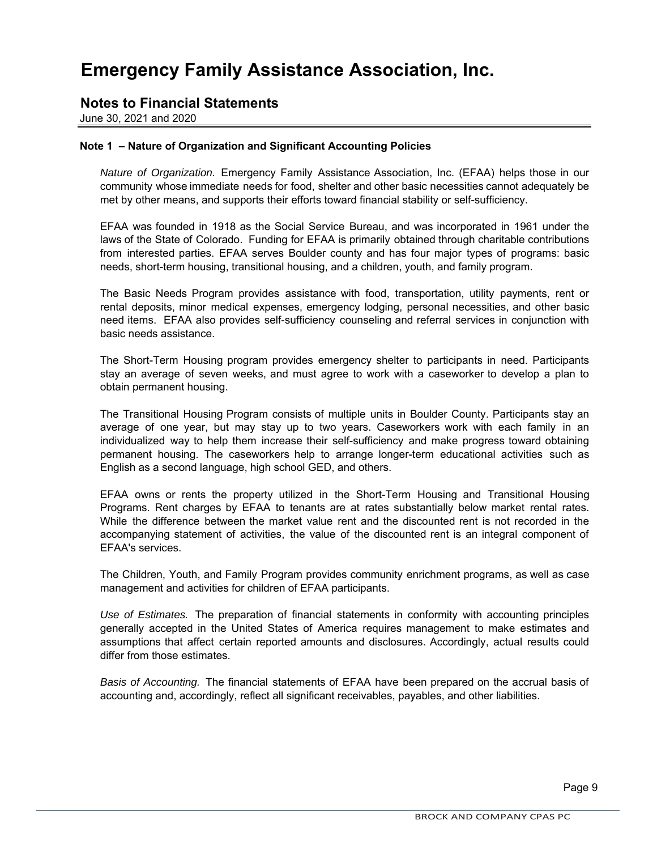### **Notes to Financial Statements**

June 30, 2021 and 2020

#### **Note 1 – Nature of Organization and Significant Accounting Policies**

*Nature of Organization.* Emergency Family Assistance Association, Inc. (EFAA) helps those in our community whose immediate needs for food, shelter and other basic necessities cannot adequately be met by other means, and supports their efforts toward financial stability or self-sufficiency.

EFAA was founded in 1918 as the Social Service Bureau, and was incorporated in 1961 under the laws of the State of Colorado. Funding for EFAA is primarily obtained through charitable contributions from interested parties. EFAA serves Boulder county and has four major types of programs: basic needs, short-term housing, transitional housing, and a children, youth, and family program.

The Basic Needs Program provides assistance with food, transportation, utility payments, rent or rental deposits, minor medical expenses, emergency lodging, personal necessities, and other basic need items. EFAA also provides self-sufficiency counseling and referral services in conjunction with basic needs assistance.

The Short-Term Housing program provides emergency shelter to participants in need. Participants stay an average of seven weeks, and must agree to work with a caseworker to develop a plan to obtain permanent housing.

The Transitional Housing Program consists of multiple units in Boulder County. Participants stay an average of one year, but may stay up to two years. Caseworkers work with each family in an individualized way to help them increase their self-sufficiency and make progress toward obtaining permanent housing. The caseworkers help to arrange longer-term educational activities such as English as a second language, high school GED, and others.

EFAA owns or rents the property utilized in the Short-Term Housing and Transitional Housing Programs. Rent charges by EFAA to tenants are at rates substantially below market rental rates. While the difference between the market value rent and the discounted rent is not recorded in the accompanying statement of activities, the value of the discounted rent is an integral component of EFAA's services.

The Children, Youth, and Family Program provides community enrichment programs, as well as case management and activities for children of EFAA participants.

*Use of Estimates.* The preparation of financial statements in conformity with accounting principles generally accepted in the United States of America requires management to make estimates and assumptions that affect certain reported amounts and disclosures. Accordingly, actual results could differ from those estimates.

*Basis of Accounting.* The financial statements of EFAA have been prepared on the accrual basis of accounting and, accordingly, reflect all significant receivables, payables, and other liabilities.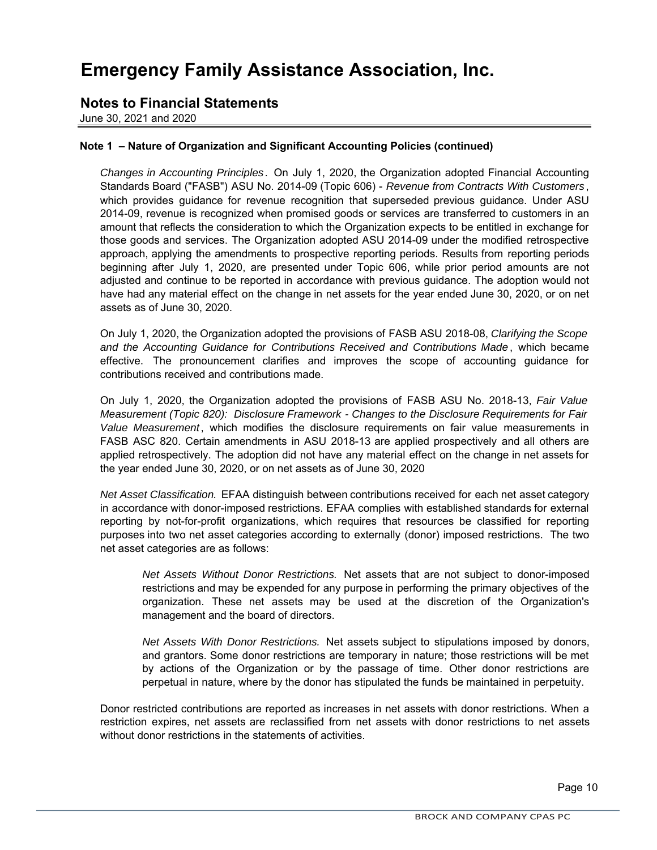### **Notes to Financial Statements**

June 30, 2021 and 2020

#### **Note 1 – Nature of Organization and Significant Accounting Policies (continued)**

*Changes in Accounting Principles*. On July 1, 2020, the Organization adopted Financial Accounting Standards Board ("FASB") ASU No. 2014-09 (Topic 606) - *Revenue from Contracts With Customers* , which provides guidance for revenue recognition that superseded previous guidance. Under ASU 2014-09, revenue is recognized when promised goods or services are transferred to customers in an amount that reflects the consideration to which the Organization expects to be entitled in exchange for those goods and services. The Organization adopted ASU 2014-09 under the modified retrospective approach, applying the amendments to prospective reporting periods. Results from reporting periods beginning after July 1, 2020, are presented under Topic 606, while prior period amounts are not adjusted and continue to be reported in accordance with previous guidance. The adoption would not have had any material effect on the change in net assets for the year ended June 30, 2020, or on net assets as of June 30, 2020.

On July 1, 2020, the Organization adopted the provisions of FASB ASU 2018-08, *Clarifying the Scope and the Accounting Guidance for Contributions Received and Contributions Made* , which became effective. The pronouncement clarifies and improves the scope of accounting guidance for contributions received and contributions made.

On July 1, 2020, the Organization adopted the provisions of FASB ASU No. 2018-13, *Fair Value Measurement (Topic 820): Disclosure Framework - Changes to the Disclosure Requirements for Fair Value Measurement*, which modifies the disclosure requirements on fair value measurements in FASB ASC 820. Certain amendments in ASU 2018-13 are applied prospectively and all others are applied retrospectively. The adoption did not have any material effect on the change in net assets for the year ended June 30, 2020, or on net assets as of June 30, 2020

*Net Asset Classification.* EFAA distinguish between contributions received for each net asset category in accordance with donor-imposed restrictions. EFAA complies with established standards for external reporting by not-for-profit organizations, which requires that resources be classified for reporting purposes into two net asset categories according to externally (donor) imposed restrictions. The two net asset categories are as follows:

*Net Assets Without Donor Restrictions.* Net assets that are not subject to donor-imposed restrictions and may be expended for any purpose in performing the primary objectives of the organization. These net assets may be used at the discretion of the Organization's management and the board of directors.

*Net Assets With Donor Restrictions.* Net assets subject to stipulations imposed by donors, and grantors. Some donor restrictions are temporary in nature; those restrictions will be met by actions of the Organization or by the passage of time. Other donor restrictions are perpetual in nature, where by the donor has stipulated the funds be maintained in perpetuity.

Donor restricted contributions are reported as increases in net assets with donor restrictions. When a restriction expires, net assets are reclassified from net assets with donor restrictions to net assets without donor restrictions in the statements of activities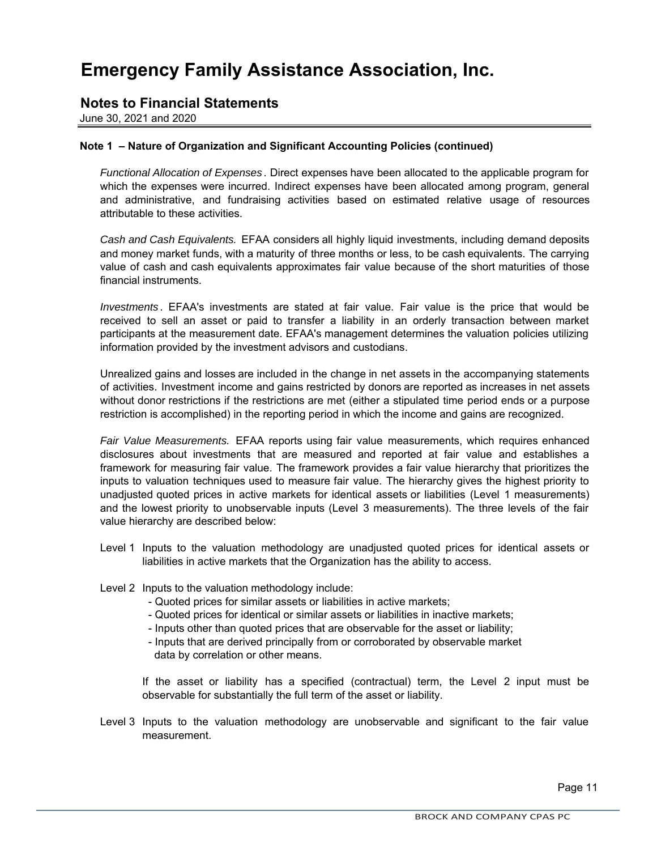### **Notes to Financial Statements**

June 30, 2021 and 2020

#### **Note 1 – Nature of Organization and Significant Accounting Policies (continued)**

*Functional Allocation of Expenses* . Direct expenses have been allocated to the applicable program for which the expenses were incurred. Indirect expenses have been allocated among program, general and administrative, and fundraising activities based on estimated relative usage of resources attributable to these activities.

*Cash and Cash Equivalents.* EFAA considers all highly liquid investments, including demand deposits and money market funds, with a maturity of three months or less, to be cash equivalents. The carrying value of cash and cash equivalents approximates fair value because of the short maturities of those financial instruments.

*Investments* . EFAA's investments are stated at fair value. Fair value is the price that would be received to sell an asset or paid to transfer a liability in an orderly transaction between market participants at the measurement date. EFAA's management determines the valuation policies utilizing information provided by the investment advisors and custodians.

Unrealized gains and losses are included in the change in net assets in the accompanying statements of activities. Investment income and gains restricted by donors are reported as increases in net assets without donor restrictions if the restrictions are met (either a stipulated time period ends or a purpose restriction is accomplished) in the reporting period in which the income and gains are recognized.

*Fair Value Measurements.* EFAA reports using fair value measurements, which requires enhanced disclosures about investments that are measured and reported at fair value and establishes a framework for measuring fair value. The framework provides a fair value hierarchy that prioritizes the inputs to valuation techniques used to measure fair value. The hierarchy gives the highest priority to unadjusted quoted prices in active markets for identical assets or liabilities (Level 1 measurements) and the lowest priority to unobservable inputs (Level 3 measurements). The three levels of the fair value hierarchy are described below:

- Level 1 Inputs to the valuation methodology are unadjusted quoted prices for identical assets or liabilities in active markets that the Organization has the ability to access.
- Level 2 Inputs to the valuation methodology include:
	- Quoted prices for similar assets or liabilities in active markets;
	- Quoted prices for identical or similar assets or liabilities in inactive markets;
	- Inputs other than quoted prices that are observable for the asset or liability;
	- data by correlation or other means. - Inputs that are derived principally from or corroborated by observable market

If the asset or liability has a specified (contractual) term, the Level 2 input must be observable for substantially the full term of the asset or liability.

Level 3 Inputs to the valuation methodology are unobservable and significant to the fair value measurement.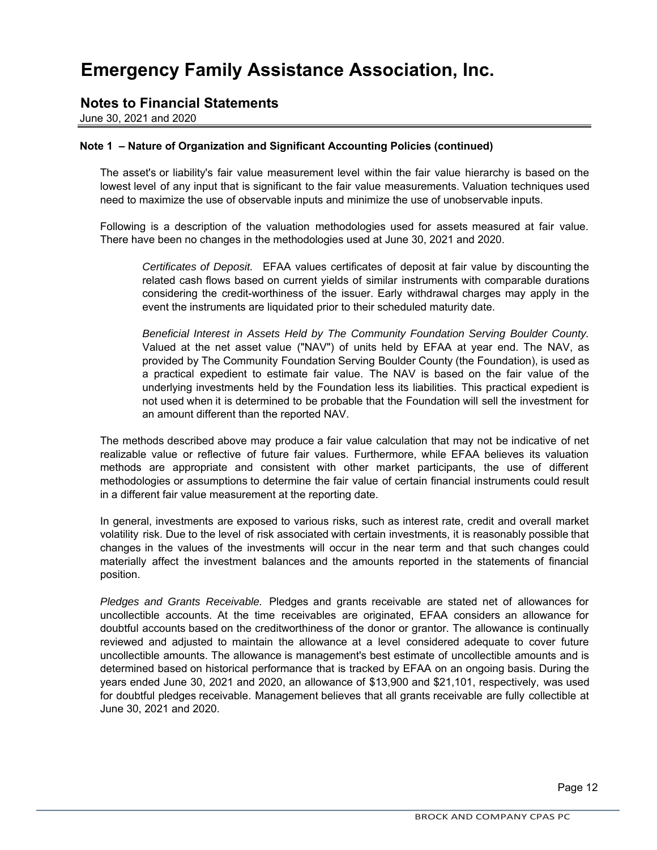### **Notes to Financial Statements**

June 30, 2021 and 2020

#### **Note 1 – Nature of Organization and Significant Accounting Policies (continued)**

The asset's or liability's fair value measurement level within the fair value hierarchy is based on the lowest level of any input that is significant to the fair value measurements. Valuation techniques used need to maximize the use of observable inputs and minimize the use of unobservable inputs.

Following is a description of the valuation methodologies used for assets measured at fair value. There have been no changes in the methodologies used at June 30, 2021 and 2020.

*Certificates of Deposit.* EFAA values certificates of deposit at fair value by discounting the related cash flows based on current yields of similar instruments with comparable durations considering the credit-worthiness of the issuer. Early withdrawal charges may apply in the event the instruments are liquidated prior to their scheduled maturity date.

*Beneficial Interest in Assets Held by The Community Foundation Serving Boulder County.* Valued at the net asset value ("NAV") of units held by EFAA at year end. The NAV, as provided by The Community Foundation Serving Boulder County (the Foundation), is used as a practical expedient to estimate fair value. The NAV is based on the fair value of the underlying investments held by the Foundation less its liabilities. This practical expedient is not used when it is determined to be probable that the Foundation will sell the investment for an amount different than the reported NAV.

The methods described above may produce a fair value calculation that may not be indicative of net realizable value or reflective of future fair values. Furthermore, while EFAA believes its valuation methods are appropriate and consistent with other market participants, the use of different methodologies or assumptions to determine the fair value of certain financial instruments could result in a different fair value measurement at the reporting date.

In general, investments are exposed to various risks, such as interest rate, credit and overall market volatility risk. Due to the level of risk associated with certain investments, it is reasonably possible that changes in the values of the investments will occur in the near term and that such changes could materially affect the investment balances and the amounts reported in the statements of financial position.

*Pledges and Grants Receivable.* Pledges and grants receivable are stated net of allowances for uncollectible accounts. At the time receivables are originated, EFAA considers an allowance for doubtful accounts based on the creditworthiness of the donor or grantor. The allowance is continually reviewed and adjusted to maintain the allowance at a level considered adequate to cover future uncollectible amounts. The allowance is management's best estimate of uncollectible amounts and is determined based on historical performance that is tracked by EFAA on an ongoing basis. During the years ended June 30, 2021 and 2020, an allowance of \$13,900 and \$21,101, respectively, was used for doubtful pledges receivable. Management believes that all grants receivable are fully collectible at June 30, 2021 and 2020.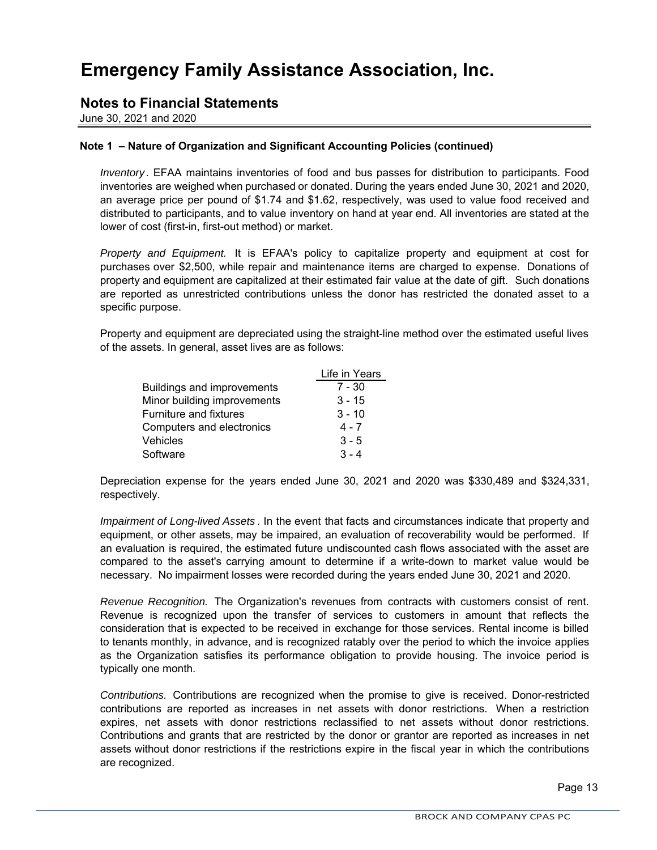### **Notes to Financial Statements**

June 30, 2021 and 2020

### **Note 1 – Nature of Organization and Significant Accounting Policies (continued)**

*Inventory*. EFAA maintains inventories of food and bus passes for distribution to participants. Food inventories are weighed when purchased or donated. During the years ended June 30, 2021 and 2020, an average price per pound of \$1.74 and \$1.62, respectively, was used to value food received and distributed to participants, and to value inventory on hand at year end. All inventories are stated at the lower of cost (first-in, first-out method) or market.

*Property and Equipment.* It is EFAA's policy to capitalize property and equipment at cost for purchases over \$2,500, while repair and maintenance items are charged to expense. Donations of property and equipment are capitalized at their estimated fair value at the date of gift. Such donations are reported as unrestricted contributions unless the donor has restricted the donated asset to a specific purpose.

Property and equipment are depreciated using the straight-line method over the estimated useful lives of the assets. In general, asset lives are as follows:

|                                   | Life in Years |
|-----------------------------------|---------------|
| <b>Buildings and improvements</b> | $7 - 30$      |
| Minor building improvements       | $3 - 15$      |
| Furniture and fixtures            | $3 - 10$      |
| Computers and electronics         | $4 - 7$       |
| Vehicles                          | $3 - 5$       |
| Software                          | $3 - 4$       |

Depreciation expense for the years ended June 30, 2021 and 2020 was \$330,489 and \$324,331, respectively.

*Impairment of Long-lived Assets* . In the event that facts and circumstances indicate that property and equipment, or other assets, may be impaired, an evaluation of recoverability would be performed. If an evaluation is required, the estimated future undiscounted cash flows associated with the asset are compared to the asset's carrying amount to determine if a write-down to market value would be necessary. No impairment losses were recorded during the years ended June 30, 2021 and 2020.

*Revenue Recognition.* The Organization's revenues from contracts with customers consist of rent. Revenue is recognized upon the transfer of services to customers in amount that reflects the consideration that is expected to be received in exchange for those services. Rental income is billed to tenants monthly, in advance, and is recognized ratably over the period to which the invoice applies as the Organization satisfies its performance obligation to provide housing. The invoice period is typically one month.

*Contributions.* Contributions are recognized when the promise to give is received. Donor-restricted contributions are reported as increases in net assets with donor restrictions. When a restriction expires, net assets with donor restrictions reclassified to net assets without donor restrictions. Contributions and grants that are restricted by the donor or grantor are reported as increases in net assets without donor restrictions if the restrictions expire in the fiscal year in which the contributions are recognized.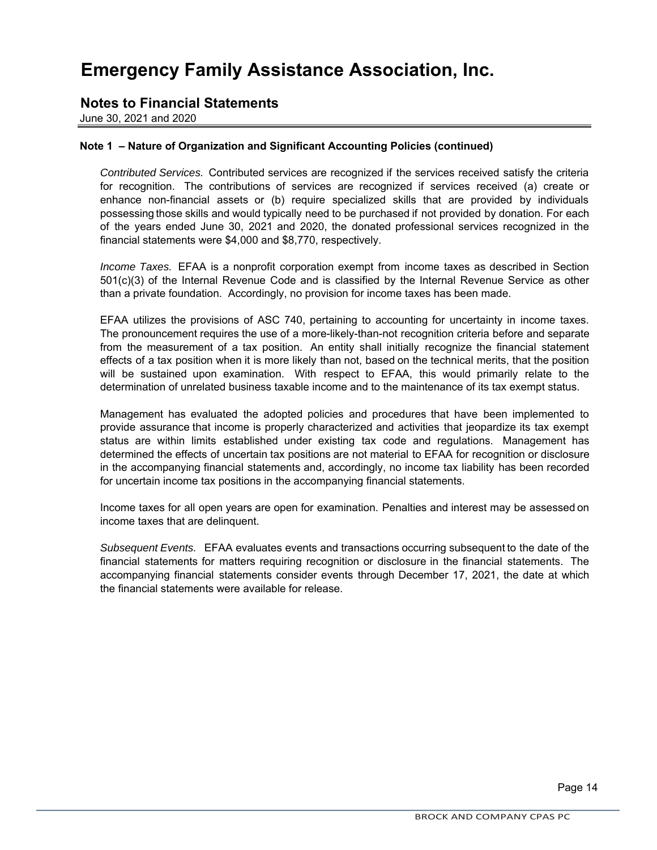### **Notes to Financial Statements**

June 30, 2021 and 2020

#### **Note 1 – Nature of Organization and Significant Accounting Policies (continued)**

*Contributed Services.* Contributed services are recognized if the services received satisfy the criteria for recognition. The contributions of services are recognized if services received (a) create or enhance non-financial assets or (b) require specialized skills that are provided by individuals possessing those skills and would typically need to be purchased if not provided by donation. For each of the years ended June 30, 2021 and 2020, the donated professional services recognized in the financial statements were \$4,000 and \$8,770, respectively.

*Income Taxes.* EFAA is a nonprofit corporation exempt from income taxes as described in Section 501(c)(3) of the Internal Revenue Code and is classified by the Internal Revenue Service as other than a private foundation. Accordingly, no provision for income taxes has been made.

EFAA utilizes the provisions of ASC 740, pertaining to accounting for uncertainty in income taxes. The pronouncement requires the use of a more-likely-than-not recognition criteria before and separate from the measurement of a tax position. An entity shall initially recognize the financial statement effects of a tax position when it is more likely than not, based on the technical merits, that the position will be sustained upon examination. With respect to EFAA, this would primarily relate to the determination of unrelated business taxable income and to the maintenance of its tax exempt status.

Management has evaluated the adopted policies and procedures that have been implemented to provide assurance that income is properly characterized and activities that jeopardize its tax exempt status are within limits established under existing tax code and regulations. Management has determined the effects of uncertain tax positions are not material to EFAA for recognition or disclosure in the accompanying financial statements and, accordingly, no income tax liability has been recorded for uncertain income tax positions in the accompanying financial statements.

Income taxes for all open years are open for examination. Penalties and interest may be assessed on income taxes that are delinquent.

*Subsequent Events.* EFAA evaluates events and transactions occurring subsequent to the date of the financial statements for matters requiring recognition or disclosure in the financial statements. The accompanying financial statements consider events through December 17, 2021, the date at which the financial statements were available for release.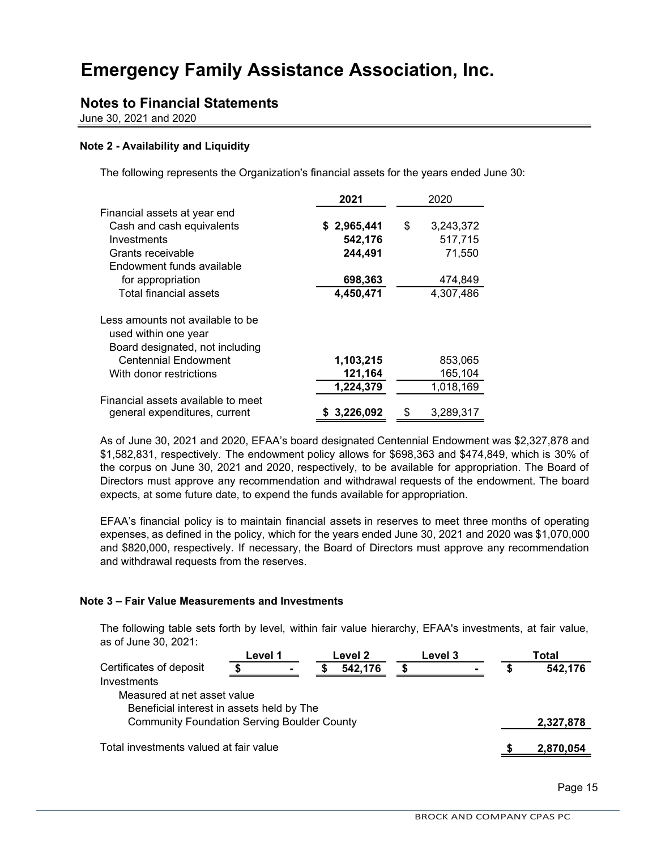## **Notes to Financial Statements**

June 30, 2021 and 2020

#### **Note 2 - Availability and Liquidity**

The following represents the Organization's financial assets for the years ended June 30:

|                                                                                             | 2021        |    | 2020      |
|---------------------------------------------------------------------------------------------|-------------|----|-----------|
| Financial assets at year end                                                                |             |    |           |
| Cash and cash equivalents                                                                   | \$2,965,441 | \$ | 3,243,372 |
| Investments                                                                                 | 542,176     |    | 517,715   |
| Grants receivable                                                                           | 244,491     |    | 71,550    |
| Endowment funds available                                                                   |             |    |           |
| for appropriation                                                                           | 698,363     |    | 474,849   |
| <b>Total financial assets</b>                                                               | 4,450,471   |    | 4,307,486 |
| Less amounts not available to be<br>used within one year<br>Board designated, not including |             |    |           |
| <b>Centennial Endowment</b>                                                                 | 1,103,215   |    | 853,065   |
| With donor restrictions                                                                     | 121,164     |    | 165,104   |
|                                                                                             | 1,224,379   |    | 1,018,169 |
| Financial assets available to meet<br>general expenditures, current                         | \$3,226,092 | S  | 3,289,317 |

As of June 30, 2021 and 2020, EFAA's board designated Centennial Endowment was \$2,327,878 and \$1,582,831, respectively. The endowment policy allows for \$698,363 and \$474,849, which is 30% of the corpus on June 30, 2021 and 2020, respectively, to be available for appropriation. The Board of Directors must approve any recommendation and withdrawal requests of the endowment. The board expects, at some future date, to expend the funds available for appropriation.

EFAA's financial policy is to maintain financial assets in reserves to meet three months of operating expenses, as defined in the policy, which for the years ended June 30, 2021 and 2020 was \$1,070,000 and \$820,000, respectively. If necessary, the Board of Directors must approve any recommendation and withdrawal requests from the reserves.

#### **Note 3 – Fair Value Measurements and Investments**

The following table sets forth by level, within fair value hierarchy, EFAA's investments, at fair value, as of June 30, 2021:

|                                                    |  | Level 1 |  | Level 2<br><b>Level 3</b> |  |  |   | Total     |  |
|----------------------------------------------------|--|---------|--|---------------------------|--|--|---|-----------|--|
| Certificates of deposit                            |  |         |  | 542.176                   |  |  | 5 | 542,176   |  |
| Investments                                        |  |         |  |                           |  |  |   |           |  |
| Measured at net asset value                        |  |         |  |                           |  |  |   |           |  |
| Beneficial interest in assets held by The          |  |         |  |                           |  |  |   |           |  |
| <b>Community Foundation Serving Boulder County</b> |  |         |  |                           |  |  |   | 2,327,878 |  |
| Total investments valued at fair value             |  |         |  |                           |  |  |   | 2,870,054 |  |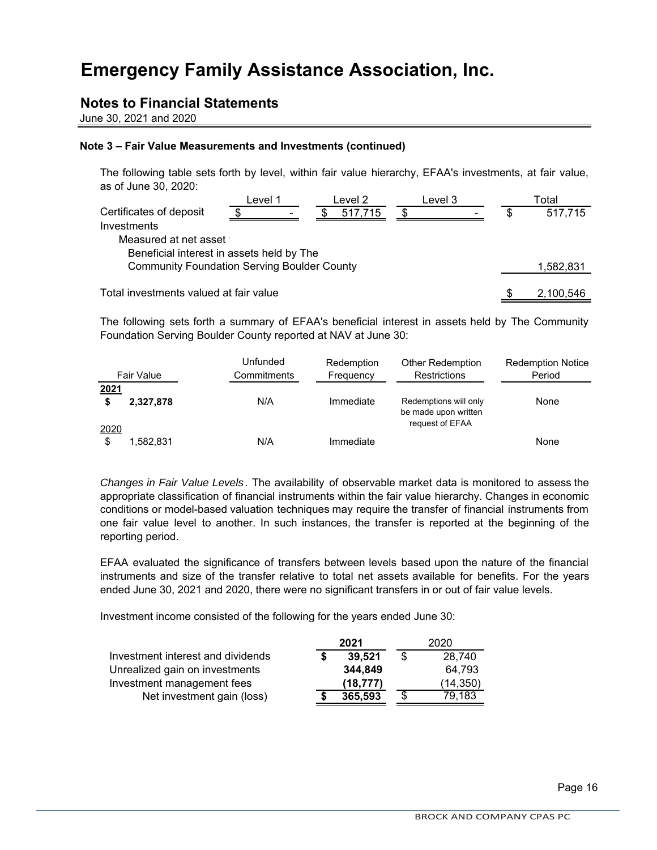### **Notes to Financial Statements**

June 30, 2021 and 2020

#### **Note 3 – Fair Value Measurements and Investments (continued)**

The following table sets forth by level, within fair value hierarchy, EFAA's investments, at fair value, as of June 30, 2020:

|                                                    | Level 1                  | Level 2 | Level 3 |   | ™otal     |
|----------------------------------------------------|--------------------------|---------|---------|---|-----------|
| Certificates of deposit<br>Investments             | $\overline{\phantom{a}}$ | 517,715 |         | S | 517,715   |
| Measured at net asset                              |                          |         |         |   |           |
| Beneficial interest in assets held by The          |                          |         |         |   |           |
| <b>Community Foundation Serving Boulder County</b> |                          |         |         |   | 1,582,831 |
|                                                    |                          |         |         |   |           |

Total investments valued at fair value

The following sets forth a summary of EFAA's beneficial interest in assets held by The Community Foundation Serving Boulder County reported at NAV at June 30:

|            | Fair Value | Unfunded<br>Commitments | Redemption<br>Frequency | <b>Other Redemption</b><br><b>Restrictions</b>                   | <b>Redemption Notice</b><br>Period |
|------------|------------|-------------------------|-------------------------|------------------------------------------------------------------|------------------------------------|
| 2021       | 2,327,878  | N/A                     | Immediate               | Redemptions will only<br>be made upon written<br>request of EFAA | None                               |
| 2020<br>\$ | 1.582.831  | N/A                     | Immediate               |                                                                  | None                               |

*Changes in Fair Value Levels* . The availability of observable market data is monitored to assess the appropriate classification of financial instruments within the fair value hierarchy. Changes in economic conditions or model-based valuation techniques may require the transfer of financial instruments from one fair value level to another. In such instances, the transfer is reported at the beginning of the reporting period.

EFAA evaluated the significance of transfers between levels based upon the nature of the financial instruments and size of the transfer relative to total net assets available for benefits. For the years ended June 30, 2021 and 2020, there were no significant transfers in or out of fair value levels.

Investment income consisted of the following for the years ended June 30:

|                                   | 2021     | 2020 |           |  |
|-----------------------------------|----------|------|-----------|--|
| Investment interest and dividends | 39,521   | \$   | 28,740    |  |
| Unrealized gain on investments    | 344,849  |      | 64,793    |  |
| Investment management fees        | (18,777) |      | (14, 350) |  |
| Net investment gain (loss)        | 365.593  | \$   | 79,183    |  |

\$ 2,100,546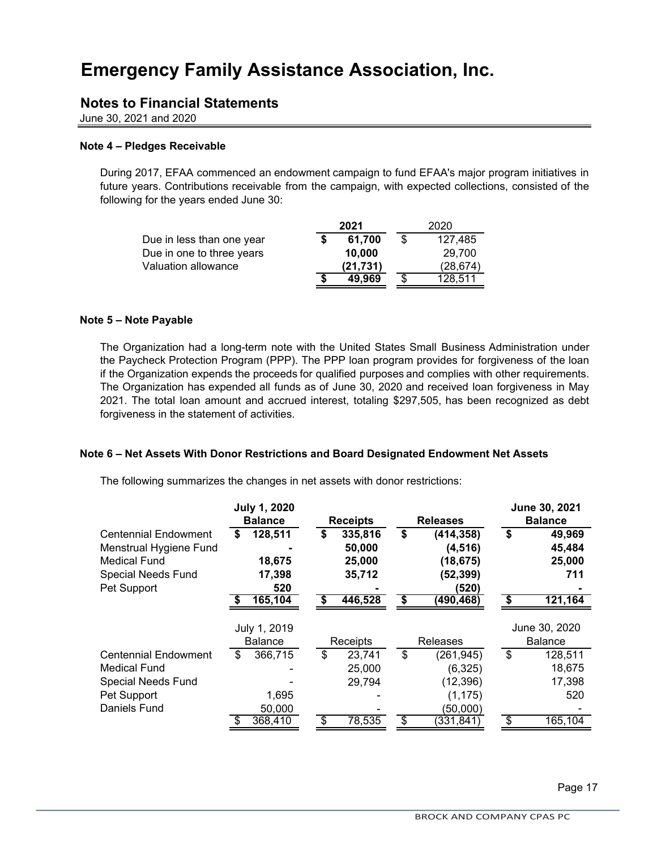### **Notes to Financial Statements**

June 30, 2021 and 2020

#### **Note 4 – Pledges Receivable**

During 2017, EFAA commenced an endowment campaign to fund EFAA's major program initiatives in future years. Contributions receivable from the campaign, with expected collections, consisted of the following for the years ended June 30:

|                           |   | 2021      | 2020          |  |
|---------------------------|---|-----------|---------------|--|
| Due in less than one year |   | 61,700    | \$<br>127,485 |  |
| Due in one to three years |   | 10,000    | 29,700        |  |
| Valuation allowance       |   | (21, 731) | (28, 674)     |  |
|                           | S | 49.969    | \$<br>128,511 |  |

#### **Note 5 – Note Payable**

The Organization had a long-term note with the United States Small Business Administration under the Paycheck Protection Program (PPP). The PPP loan program provides for forgiveness of the loan if the Organization expends the proceeds for qualified purposes and complies with other requirements. The Organization has expended all funds as of June 30, 2020 and received loan forgiveness in May 2021. The total loan amount and accrued interest, totaling \$297,505, has been recognized as debt forgiveness in the statement of activities.

#### **Note 6 – Net Assets With Donor Restrictions and Board Designated Endowment Net Assets**

The following summarizes the changes in net assets with donor restrictions:

|                             | <b>July 1, 2020</b> |                 |                  | June 30, 2021  |
|-----------------------------|---------------------|-----------------|------------------|----------------|
|                             | <b>Balance</b>      | <b>Receipts</b> | <b>Releases</b>  | <b>Balance</b> |
| <b>Centennial Endowment</b> | \$<br>128,511       | \$<br>335,816   | \$<br>(414, 358) | \$<br>49,969   |
| Menstrual Hygiene Fund      |                     | 50,000          | (4, 516)         | 45,484         |
| <b>Medical Fund</b>         | 18,675              | 25,000          | (18, 675)        | 25,000         |
| <b>Special Needs Fund</b>   | 17,398              | 35,712          | (52, 399)        | 711            |
| Pet Support                 | 520                 |                 | (520)            |                |
|                             | 165,104             | 446,528         | \$<br>(490, 468) | \$<br>121,164  |
|                             | July 1, 2019        |                 |                  | June 30, 2020  |
|                             | <b>Balance</b>      | Receipts        | <b>Releases</b>  | <b>Balance</b> |
|                             |                     |                 |                  |                |
| <b>Centennial Endowment</b> | \$<br>366,715       | \$<br>23,741    | \$<br>(261, 945) | \$<br>128,511  |
| <b>Medical Fund</b>         |                     | 25,000          | (6,325)          | 18,675         |
| <b>Special Needs Fund</b>   |                     | 29,794          | (12, 396)        | 17,398         |
| Pet Support                 | 1,695               |                 | (1, 175)         | 520            |
| Daniels Fund                | 50,000<br>368,410   | 78,535          | (50,000)         | 165,104        |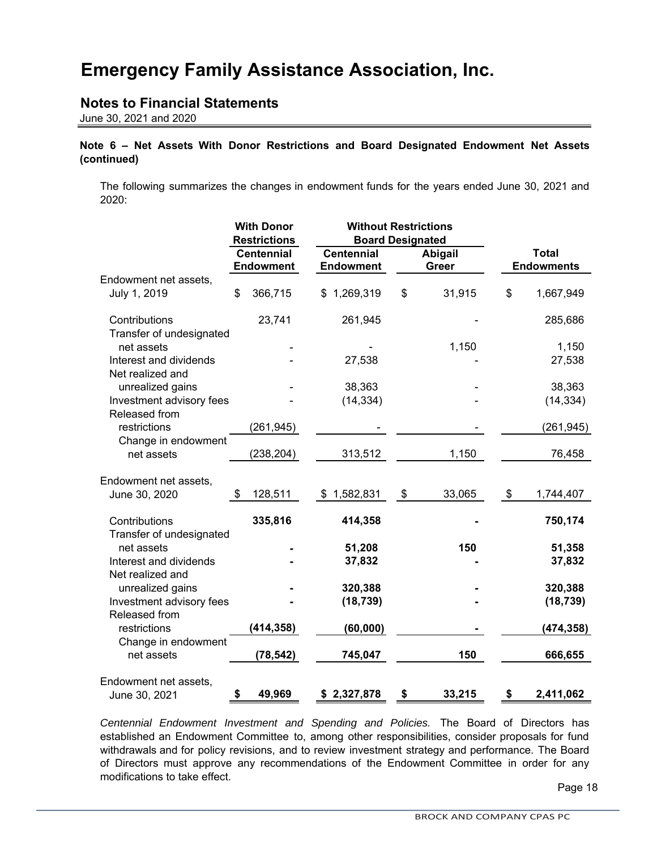## **Notes to Financial Statements**

June 30, 2021 and 2020

### **Note 6 – Net Assets With Donor Restrictions and Board Designated Endowment Net Assets (continued)**

The following summarizes the changes in endowment funds for the years ended June 30, 2021 and 2020:

|                                            | <b>With Donor</b><br><b>Restrictions</b> | <b>Without Restrictions</b><br><b>Board Designated</b> |    |                         |                                   |
|--------------------------------------------|------------------------------------------|--------------------------------------------------------|----|-------------------------|-----------------------------------|
|                                            | <b>Centennial</b><br><b>Endowment</b>    | <b>Centennial</b><br><b>Endowment</b>                  |    | <b>Abigail</b><br>Greer | <b>Total</b><br><b>Endowments</b> |
| Endowment net assets,<br>July 1, 2019      | \$<br>366,715                            | \$1,269,319                                            | \$ | 31,915                  | \$<br>1,667,949                   |
| Contributions<br>Transfer of undesignated  | 23,741                                   | 261,945                                                |    |                         | 285,686                           |
| net assets                                 |                                          |                                                        |    | 1,150                   | 1,150                             |
| Interest and dividends<br>Net realized and |                                          | 27,538                                                 |    |                         | 27,538                            |
| unrealized gains                           |                                          | 38,363                                                 |    |                         | 38,363                            |
| Investment advisory fees<br>Released from  |                                          | (14, 334)                                              |    |                         | (14, 334)                         |
| restrictions<br>Change in endowment        | (261, 945)                               |                                                        |    |                         | (261, 945)                        |
| net assets                                 | (238, 204)                               | 313,512                                                |    | 1,150                   | 76,458                            |
| Endowment net assets,<br>June 30, 2020     | \$<br>128,511                            | \$1,582,831                                            | \$ | 33,065                  | \$<br>1,744,407                   |
| Contributions<br>Transfer of undesignated  | 335,816                                  | 414,358                                                |    |                         | 750,174                           |
| net assets                                 |                                          | 51,208                                                 |    | 150                     | 51,358                            |
| Interest and dividends<br>Net realized and |                                          | 37,832                                                 |    |                         | 37,832                            |
| unrealized gains                           |                                          | 320,388                                                |    |                         | 320,388                           |
| Investment advisory fees<br>Released from  |                                          | (18, 739)                                              |    |                         | (18, 739)                         |
| restrictions<br>Change in endowment        | (414, 358)                               | (60, 000)                                              |    |                         | (474,358)                         |
| net assets                                 | (78, 542)                                | 745,047                                                |    | 150                     | 666,655                           |
| Endowment net assets,<br>June 30, 2021     | \$<br>49,969                             | \$2,327,878                                            | \$ | 33,215                  | \$<br>2,411,062                   |

*Centennial Endowment Investment and Spending and Policies.* The Board of Directors has established an Endowment Committee to, among other responsibilities, consider proposals for fund withdrawals and for policy revisions, and to review investment strategy and performance. The Board of Directors must approve any recommendations of the Endowment Committee in order for any modifications to take effect.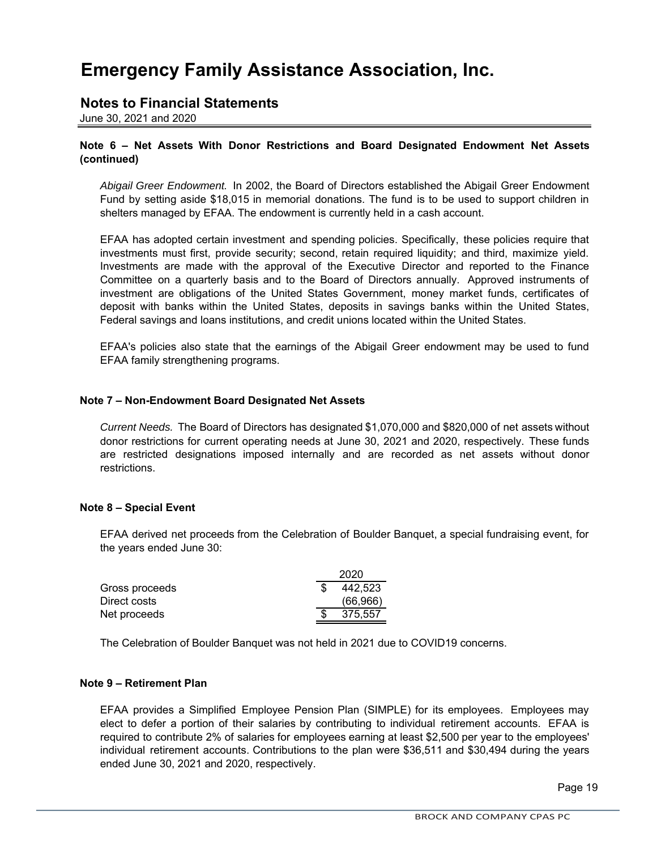### **Notes to Financial Statements**

June 30, 2021 and 2020

### **Note 6 – Net Assets With Donor Restrictions and Board Designated Endowment Net Assets (continued)**

*Abigail Greer Endowment.* In 2002, the Board of Directors established the Abigail Greer Endowment Fund by setting aside \$18,015 in memorial donations. The fund is to be used to support children in shelters managed by EFAA. The endowment is currently held in a cash account.

EFAA has adopted certain investment and spending policies. Specifically, these policies require that investments must first, provide security; second, retain required liquidity; and third, maximize yield. Investments are made with the approval of the Executive Director and reported to the Finance Committee on a quarterly basis and to the Board of Directors annually. Approved instruments of investment are obligations of the United States Government, money market funds, certificates of deposit with banks within the United States, deposits in savings banks within the United States, Federal savings and loans institutions, and credit unions located within the United States.

EFAA's policies also state that the earnings of the Abigail Greer endowment may be used to fund EFAA family strengthening programs.

#### **Note 7 – Non-Endowment Board Designated Net Assets**

*Current Needs.* The Board of Directors has designated \$1,070,000 and \$820,000 of net assets without donor restrictions for current operating needs at June 30, 2021 and 2020, respectively. These funds are restricted designations imposed internally and are recorded as net assets without donor restrictions.

#### **Note 8 – Special Event**

EFAA derived net proceeds from the Celebration of Boulder Banquet, a special fundraising event, for the years ended June 30:

|                | 2020      |
|----------------|-----------|
| Gross proceeds | 442,523   |
| Direct costs   | (66, 966) |
| Net proceeds   | 375.557   |

The Celebration of Boulder Banquet was not held in 2021 due to COVID19 concerns.

#### **Note 9 – Retirement Plan**

EFAA provides a Simplified Employee Pension Plan (SIMPLE) for its employees. Employees may elect to defer a portion of their salaries by contributing to individual retirement accounts. EFAA is required to contribute 2% of salaries for employees earning at least \$2,500 per year to the employees' individual retirement accounts. Contributions to the plan were \$36,511 and \$30,494 during the years ended June 30, 2021 and 2020, respectively.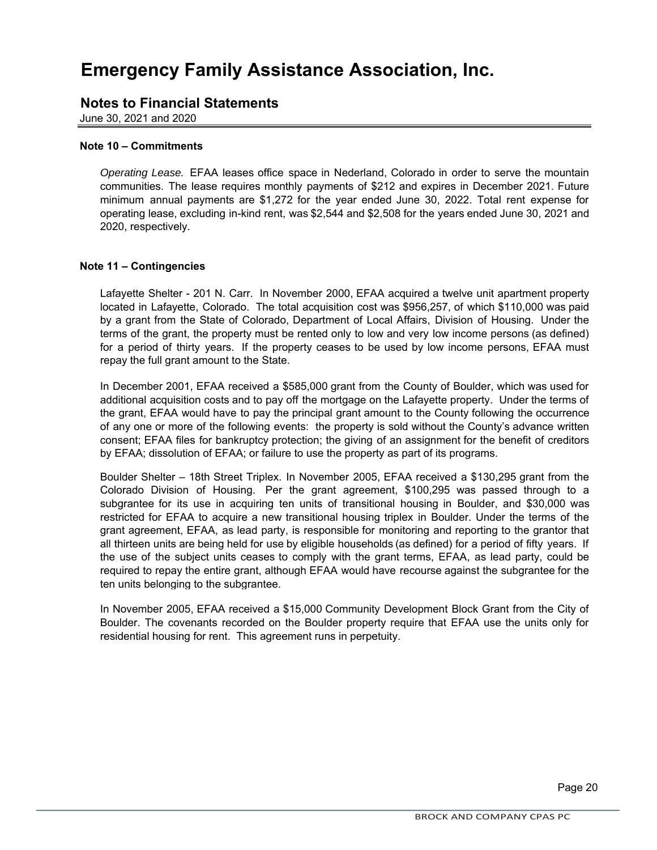### **Notes to Financial Statements**

June 30, 2021 and 2020

#### **Note 10 – Commitments**

*Operating Lease.* EFAA leases office space in Nederland, Colorado in order to serve the mountain communities. The lease requires monthly payments of \$212 and expires in December 2021. Future minimum annual payments are \$1,272 for the year ended June 30, 2022. Total rent expense for operating lease, excluding in-kind rent, was \$2,544 and \$2,508 for the years ended June 30, 2021 and 2020, respectively.

#### **Note 11 – Contingencies**

Lafayette Shelter - 201 N. Carr. In November 2000, EFAA acquired a twelve unit apartment property located in Lafayette, Colorado. The total acquisition cost was \$956,257, of which \$110,000 was paid by a grant from the State of Colorado, Department of Local Affairs, Division of Housing. Under the terms of the grant, the property must be rented only to low and very low income persons (as defined) for a period of thirty years. If the property ceases to be used by low income persons, EFAA must repay the full grant amount to the State.

In December 2001, EFAA received a \$585,000 grant from the County of Boulder, which was used for additional acquisition costs and to pay off the mortgage on the Lafayette property. Under the terms of the grant, EFAA would have to pay the principal grant amount to the County following the occurrence of any one or more of the following events: the property is sold without the County's advance written consent; EFAA files for bankruptcy protection; the giving of an assignment for the benefit of creditors by EFAA; dissolution of EFAA; or failure to use the property as part of its programs.

Boulder Shelter – 18th Street Triplex. In November 2005, EFAA received a \$130,295 grant from the Colorado Division of Housing. Per the grant agreement, \$100,295 was passed through to a subgrantee for its use in acquiring ten units of transitional housing in Boulder, and \$30,000 was restricted for EFAA to acquire a new transitional housing triplex in Boulder. Under the terms of the grant agreement, EFAA, as lead party, is responsible for monitoring and reporting to the grantor that all thirteen units are being held for use by eligible households (as defined) for a period of fifty years. If the use of the subject units ceases to comply with the grant terms, EFAA, as lead party, could be required to repay the entire grant, although EFAA would have recourse against the subgrantee for the ten units belonging to the subgrantee.

In November 2005, EFAA received a \$15,000 Community Development Block Grant from the City of Boulder. The covenants recorded on the Boulder property require that EFAA use the units only for residential housing for rent. This agreement runs in perpetuity.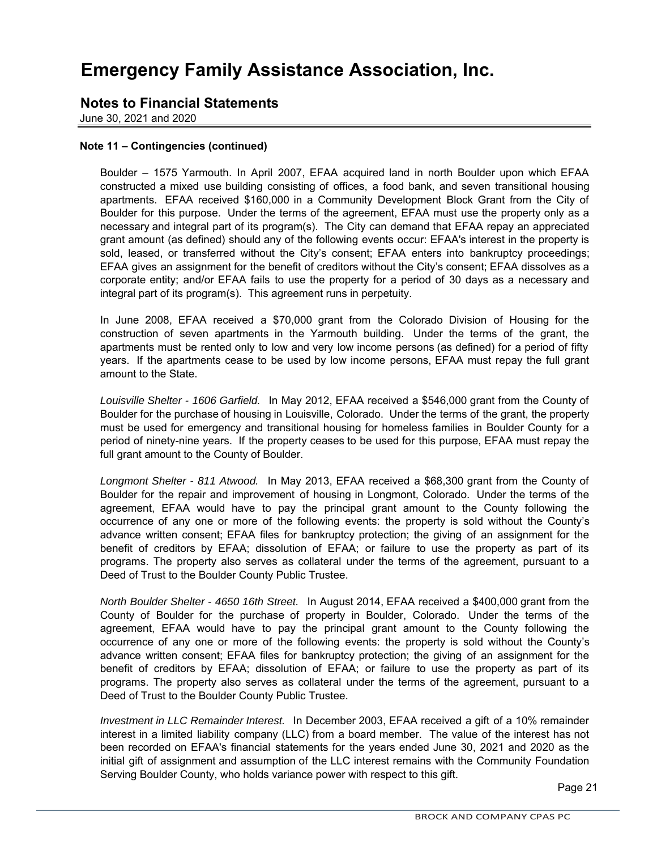### **Notes to Financial Statements**

June 30, 2021 and 2020

#### **Note 11 – Contingencies (continued)**

Boulder – 1575 Yarmouth. In April 2007, EFAA acquired land in north Boulder upon which EFAA constructed a mixed use building consisting of offices, a food bank, and seven transitional housing apartments. EFAA received \$160,000 in a Community Development Block Grant from the City of Boulder for this purpose. Under the terms of the agreement, EFAA must use the property only as a necessary and integral part of its program(s). The City can demand that EFAA repay an appreciated grant amount (as defined) should any of the following events occur: EFAA's interest in the property is sold, leased, or transferred without the City's consent; EFAA enters into bankruptcy proceedings; EFAA gives an assignment for the benefit of creditors without the City's consent; EFAA dissolves as a corporate entity; and/or EFAA fails to use the property for a period of 30 days as a necessary and integral part of its program(s). This agreement runs in perpetuity.

In June 2008, EFAA received a \$70,000 grant from the Colorado Division of Housing for the construction of seven apartments in the Yarmouth building. Under the terms of the grant, the apartments must be rented only to low and very low income persons (as defined) for a period of fifty years. If the apartments cease to be used by low income persons, EFAA must repay the full grant amount to the State.

*Louisville Shelter - 1606 Garfield.* In May 2012, EFAA received a \$546,000 grant from the County of Boulder for the purchase of housing in Louisville, Colorado. Under the terms of the grant, the property must be used for emergency and transitional housing for homeless families in Boulder County for a period of ninety-nine years. If the property ceases to be used for this purpose, EFAA must repay the full grant amount to the County of Boulder.

*Longmont Shelter - 811 Atwood.* In May 2013, EFAA received a \$68,300 grant from the County of Boulder for the repair and improvement of housing in Longmont, Colorado. Under the terms of the agreement, EFAA would have to pay the principal grant amount to the County following the occurrence of any one or more of the following events: the property is sold without the County's advance written consent; EFAA files for bankruptcy protection; the giving of an assignment for the benefit of creditors by EFAA; dissolution of EFAA; or failure to use the property as part of its programs. The property also serves as collateral under the terms of the agreement, pursuant to a Deed of Trust to the Boulder County Public Trustee.

*North Boulder Shelter - 4650 16th Street.* In August 2014, EFAA received a \$400,000 grant from the County of Boulder for the purchase of property in Boulder, Colorado. Under the terms of the agreement, EFAA would have to pay the principal grant amount to the County following the occurrence of any one or more of the following events: the property is sold without the County's advance written consent; EFAA files for bankruptcy protection; the giving of an assignment for the benefit of creditors by EFAA; dissolution of EFAA; or failure to use the property as part of its programs. The property also serves as collateral under the terms of the agreement, pursuant to a Deed of Trust to the Boulder County Public Trustee.

*Investment in LLC Remainder Interest.* In December 2003, EFAA received a gift of a 10% remainder interest in a limited liability company (LLC) from a board member. The value of the interest has not been recorded on EFAA's financial statements for the years ended June 30, 2021 and 2020 as the initial gift of assignment and assumption of the LLC interest remains with the Community Foundation Serving Boulder County, who holds variance power with respect to this gift.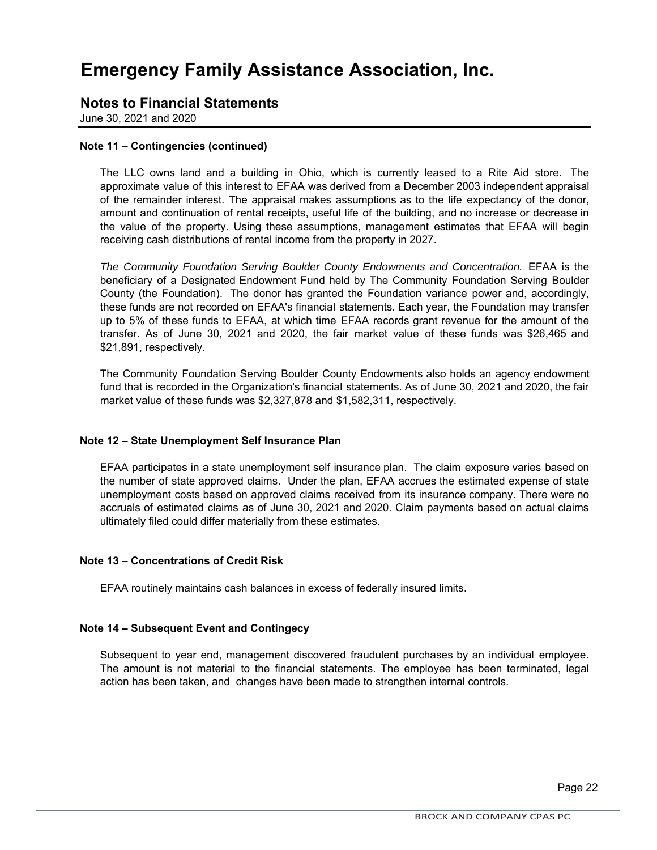### **Notes to Financial Statements**

June 30, 2021 and 2020

#### **Note 11 – Contingencies (continued)**

The LLC owns land and a building in Ohio, which is currently leased to a Rite Aid store. The approximate value of this interest to EFAA was derived from a December 2003 independent appraisal of the remainder interest. The appraisal makes assumptions as to the life expectancy of the donor, amount and continuation of rental receipts, useful life of the building, and no increase or decrease in the value of the property. Using these assumptions, management estimates that EFAA will begin receiving cash distributions of rental income from the property in 2027.

*The Community Foundation Serving Boulder County Endowments and Concentration.* EFAA is the beneficiary of a Designated Endowment Fund held by The Community Foundation Serving Boulder County (the Foundation). The donor has granted the Foundation variance power and, accordingly, these funds are not recorded on EFAA's financial statements. Each year, the Foundation may transfer up to 5% of these funds to EFAA, at which time EFAA records grant revenue for the amount of the transfer. As of June 30, 2021 and 2020, the fair market value of these funds was \$26,465 and \$21,891, respectively.

The Community Foundation Serving Boulder County Endowments also holds an agency endowment fund that is recorded in the Organization's financial statements. As of June 30, 2021 and 2020, the fair market value of these funds was \$2,327,878 and \$1,582,311, respectively.

#### **Note 12 – State Unemployment Self Insurance Plan**

EFAA participates in a state unemployment self insurance plan. The claim exposure varies based on the number of state approved claims. Under the plan, EFAA accrues the estimated expense of state unemployment costs based on approved claims received from its insurance company. There were no accruals of estimated claims as of June 30, 2021 and 2020. Claim payments based on actual claims ultimately filed could differ materially from these estimates.

#### **Note 13 – Concentrations of Credit Risk**

EFAA routinely maintains cash balances in excess of federally insured limits.

#### **Note 14 – Subsequent Event and Contingecy**

Subsequent to year end, management discovered fraudulent purchases by an individual employee. The amount is not material to the financial statements. The employee has been terminated, legal action has been taken, and changes have been made to strengthen internal controls.